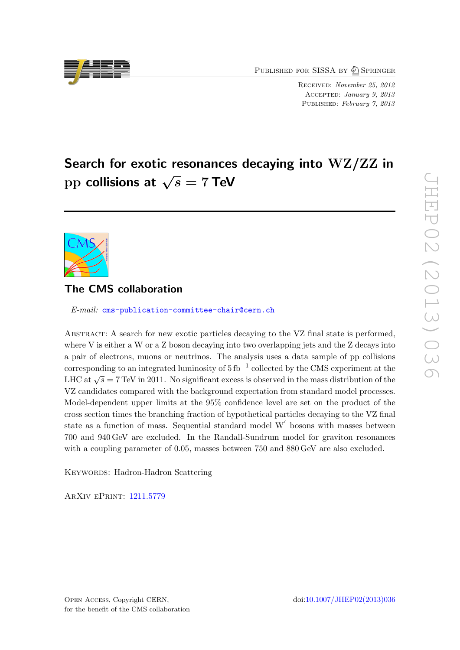PUBLISHED FOR SISSA BY 2 SPRINGER

Received: November 25, 2012 Accepted: January 9, 2013 PUBLISHED: February 7, 2013

# Search for exotic resonances decaying into WZ/ZZ in pp collisions at  $\sqrt{s} = 7$  TeV



## The CMS collaboration

E-mail: [cms-publication-committee-chair@cern.ch](mailto:cms-publication-committee-chair@cern.ch)

Abstract: A search for new exotic particles decaying to the VZ final state is performed, where V is either a W or a Z boson decaying into two overlapping jets and the Z decays into a pair of electrons, muons or neutrinos. The analysis uses a data sample of pp collisions corresponding to an integrated luminosity of  $5 \text{ fb}^{-1}$  collected by the CMS experiment at the LHC at  $\sqrt{s} = 7$  TeV in 2011. No significant excess is observed in the mass distribution of the VZ candidates compared with the background expectation from standard model processes. Model-dependent upper limits at the 95% confidence level are set on the product of the cross section times the branching fraction of hypothetical particles decaying to the VZ final state as a function of mass. Sequential standard model  $W'$  bosons with masses between 700 and 940 GeV are excluded. In the Randall-Sundrum model for graviton resonances with a coupling parameter of 0.05, masses between 750 and 880 GeV are also excluded.

KEYWORDS: Hadron-Hadron Scattering

ArXiv ePrint: [1211.5779](http://arxiv.org/abs/1211.5779)

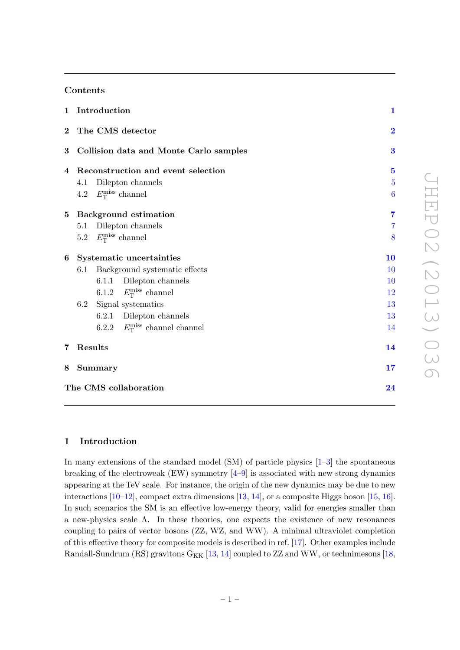## Contents

|                | 1 Introduction                               | $\mathbf{1}$   |
|----------------|----------------------------------------------|----------------|
| $\overline{2}$ | The CMS detector                             | $\overline{2}$ |
| $\bf{3}$       | Collision data and Monte Carlo samples       | 3              |
|                | 4 Reconstruction and event selection         | $\overline{5}$ |
|                | Dilepton channels<br>4.1                     | 5              |
|                | 4.2 $E_{\rm T}^{\rm miss}$ channel           | 6              |
| 5 <sup>5</sup> | <b>Background estimation</b>                 | $\overline{7}$ |
|                | Dilepton channels<br>5.1                     | $\overline{7}$ |
|                | 5.2 $E_{\rm T}^{\rm miss}$ channel           | 8              |
| 6              | Systematic uncertainties                     | 10             |
|                | Background systematic effects<br>6.1         | 10             |
|                | 6.1.1 Dilepton channels                      | 10             |
|                | 6.1.2 $E_{\rm T}^{\rm miss}$ channel         | 12             |
|                | Signal systematics<br>6.2                    | 13             |
|                | 6.2.1 Dilepton channels                      | 13             |
|                | 6.2.2 $E_{\rm T}^{\rm miss}$ channel channel | 14             |
| $\overline{7}$ | Results                                      | 14             |
| 8              | 17                                           |                |
|                | The CMS collaboration                        | 24             |

## <span id="page-1-0"></span>1 Introduction

In many extensions of the standard model  $(SM)$  of particle physics  $[1-3]$  $[1-3]$  the spontaneous breaking of the electroweak (EW) symmetry  $[4-9]$  $[4-9]$  is associated with new strong dynamics appearing at the TeV scale. For instance, the origin of the new dynamics may be due to new interactions  $[10-12]$  $[10-12]$ , compact extra dimensions  $[13, 14]$  $[13, 14]$  $[13, 14]$ , or a composite Higgs boson  $[15, 16]$  $[15, 16]$  $[15, 16]$ . In such scenarios the SM is an effective low-energy theory, valid for energies smaller than a new-physics scale Λ. In these theories, one expects the existence of new resonances coupling to pairs of vector bosons (ZZ, WZ, and WW). A minimal ultraviolet completion of this effective theory for composite models is described in ref. [\[17\]](#page-21-1). Other examples include Randall-Sundrum (RS) gravitons  $G_{KK}$  [\[13,](#page-20-6) [14\]](#page-20-7) coupled to ZZ and WW, or technimesons [\[18,](#page-21-2)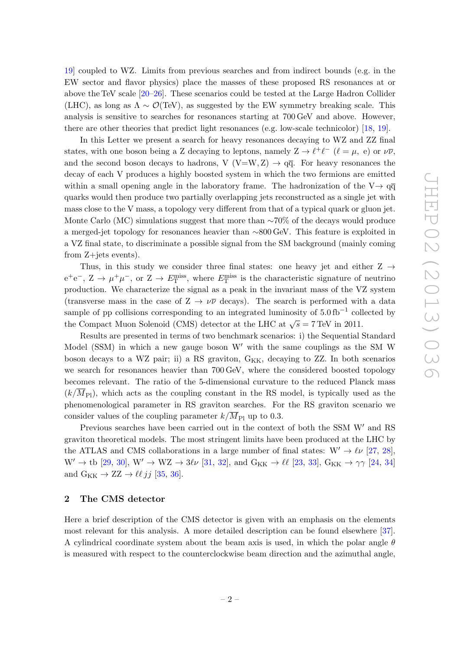[19\]](#page-21-3) coupled to WZ. Limits from previous searches and from indirect bounds (e.g. in the EW sector and flavor physics) place the masses of these proposed RS resonances at or above the TeV scale [\[20](#page-21-4)[–26\]](#page-21-5). These scenarios could be tested at the Large Hadron Collider (LHC), as long as  $\Lambda \sim \mathcal{O}(\text{TeV})$ , as suggested by the EW symmetry breaking scale. This analysis is sensitive to searches for resonances starting at 700 GeV and above. However, there are other theories that predict light resonances (e.g. low-scale technicolor) [\[18,](#page-21-2) [19\]](#page-21-3).

In this Letter we present a search for heavy resonances decaying to WZ and ZZ final states, with one boson being a Z decaying to leptons, namely  $Z \to \ell^+ \ell^-$  ( $\ell = \mu$ , e) or  $\nu \overline{\nu}$ , and the second boson decays to hadrons,  $V (V=W, Z) \rightarrow q\bar{q}$ . For heavy resonances the decay of each V produces a highly boosted system in which the two fermions are emitted within a small opening angle in the laboratory frame. The hadronization of the V $\rightarrow$   $q\bar{q}$ quarks would then produce two partially overlapping jets reconstructed as a single jet with mass close to the V mass, a topology very different from that of a typical quark or gluon jet. Monte Carlo (MC) simulations suggest that more than ∼70% of the decays would produce a merged-jet topology for resonances heavier than ∼800 GeV. This feature is exploited in a VZ final state, to discriminate a possible signal from the SM background (mainly coming from Z+jets events).

Thus, in this study we consider three final states: one heavy jet and either  $Z \rightarrow$  $e^+e^-$ ,  $Z \to \mu^+\mu^-$ , or  $Z \to E_T^{\text{miss}}$ , where  $E_T^{\text{miss}}$  is the characteristic signature of neutrino production. We characterize the signal as a peak in the invariant mass of the VZ system (transverse mass in the case of  $Z \to \nu\bar{\nu}$  decays). The search is performed with a data sample of pp collisions corresponding to an integrated luminosity of  $5.0 \text{ fb}^{-1}$  collected by the Compact Muon Solenoid (CMS) detector at the LHC at  $\sqrt{s} = 7$  TeV in 2011.

Results are presented in terms of two benchmark scenarios: i) the Sequential Standard Model (SSM) in which a new gauge boson  $W'$  with the same couplings as the SM W boson decays to a WZ pair; ii) a RS graviton,  $G_{KK}$ , decaying to ZZ. In both scenarios we search for resonances heavier than 700 GeV, where the considered boosted topology becomes relevant. The ratio of the 5-dimensional curvature to the reduced Planck mass  $(k/\overline{M}_{\rm Pl})$ , which acts as the coupling constant in the RS model, is typically used as the phenomenological parameter in RS graviton searches. For the RS graviton scenario we consider values of the coupling parameter  $k/\overline{M}_{\text{Pl}}$  up to 0.3.

Previous searches have been carried out in the context of both the SSM W' and RS graviton theoretical models. The most stringent limits have been produced at the LHC by the ATLAS and CMS collaborations in a large number of final states:  $W' \rightarrow \ell \nu$  [\[27,](#page-21-6) [28\]](#page-21-7),  $W' \rightarrow$  tb [\[29,](#page-21-8) [30\]](#page-21-9),  $W' \rightarrow WZ \rightarrow 3\ell\nu$  [\[31,](#page-21-10) [32\]](#page-21-11), and  $G_{KK} \rightarrow \ell\ell$  [\[23,](#page-21-12) [33\]](#page-21-13),  $G_{KK} \rightarrow \gamma\gamma$  [\[24,](#page-21-14) [34\]](#page-22-0) and  $G_{KK} \rightarrow ZZ \rightarrow \ell \ell jj$  [\[35,](#page-22-1) [36\]](#page-22-2).

## <span id="page-2-0"></span>2 The CMS detector

Here a brief description of the CMS detector is given with an emphasis on the elements most relevant for this analysis. A more detailed description can be found elsewhere [\[37\]](#page-22-3). A cylindrical coordinate system about the beam axis is used, in which the polar angle  $\theta$ is measured with respect to the counterclockwise beam direction and the azimuthal angle,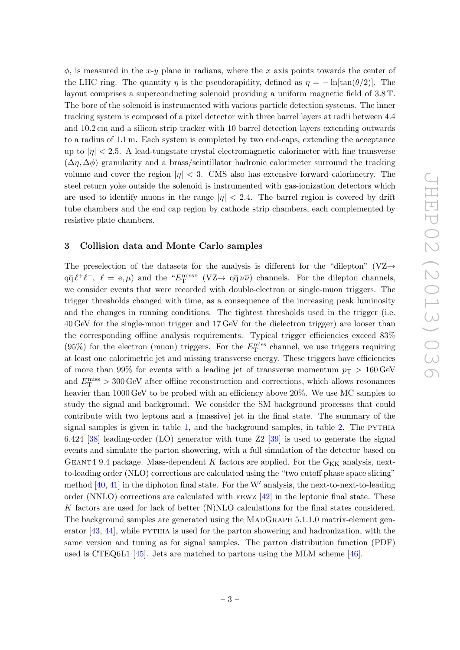$\phi$ , is measured in the x-y plane in radians, where the x axis points towards the center of the LHC ring. The quantity  $\eta$  is the pseudorapidity, defined as  $\eta = -\ln[\tan(\theta/2)]$ . The layout comprises a superconducting solenoid providing a uniform magnetic field of 3.8 T. The bore of the solenoid is instrumented with various particle detection systems. The inner tracking system is composed of a pixel detector with three barrel layers at radii between 4.4 and 10.2 cm and a silicon strip tracker with 10 barrel detection layers extending outwards to a radius of 1.1 m. Each system is completed by two end-caps, extending the acceptance up to  $|\eta| < 2.5$ . A lead-tungstate crystal electromagnetic calorimeter with fine transverse  $(\Delta \eta, \Delta \phi)$  granularity and a brass/scintillator hadronic calorimeter surround the tracking volume and cover the region  $|\eta| < 3$ . CMS also has extensive forward calorimetry. The steel return yoke outside the solenoid is instrumented with gas-ionization detectors which are used to identify muons in the range  $|\eta| < 2.4$ . The barrel region is covered by drift tube chambers and the end cap region by cathode strip chambers, each complemented by resistive plate chambers.

#### <span id="page-3-0"></span>3 Collision data and Monte Carlo samples

The preselection of the datasets for the analysis is different for the "dilepton" (VZ $\rightarrow$  $q\bar{q}\ell^+\ell^-$ ,  $\ell = e, \mu$ ) and the " $E_T^{\text{miss}}$ " (VZ $\rightarrow$   $q\bar{q}\nu\bar{\nu}$ ) channels. For the dilepton channels, we consider events that were recorded with double-electron or single-muon triggers. The trigger thresholds changed with time, as a consequence of the increasing peak luminosity and the changes in running conditions. The tightest thresholds used in the trigger (i.e. 40 GeV for the single-muon trigger and 17 GeV for the dielectron trigger) are looser than the corresponding offline analysis requirements. Typical trigger efficiencies exceed 83% (95%) for the electron (muon) triggers. For the  $E_{\rm T}^{\rm miss}$  channel, we use triggers requiring at least one calorimetric jet and missing transverse energy. These triggers have efficiencies of more than 99% for events with a leading jet of transverse momentum  $p_T > 160 \text{ GeV}$ and  $E_{\rm T}^{\rm miss} > 300\,\text{GeV}$  after offline reconstruction and corrections, which allows resonances heavier than 1000 GeV to be probed with an efficiency above 20%. We use MC samples to study the signal and background. We consider the SM background processes that could contribute with two leptons and a (massive) jet in the final state. The summary of the signal samples is given in table  $1$ , and the background samples, in table  $2$ . The PYTHIA 6.424 [\[38\]](#page-22-4) leading-order (LO) generator with tune Z2 [\[39\]](#page-22-5) is used to generate the signal events and simulate the parton showering, with a full simulation of the detector based on GEANT4 9.4 package. Mass-dependent K factors are applied. For the  $G_{KK}$  analysis, nextto-leading order (NLO) corrections are calculated using the "two cutoff phase space slicing" method  $[40, 41]$  $[40, 41]$  $[40, 41]$  in the diphoton final state. For the W' analysis, the next-to-next-to-leading order (NNLO) corrections are calculated with  $Fewz$  [\[42\]](#page-22-8) in the leptonic final state. These K factors are used for lack of better (N)NLO calculations for the final states considered. The background samples are generated using the MADGRAPH 5.1.1.0 matrix-element generator  $[43, 44]$  $[43, 44]$  $[43, 44]$ , while PYTHIA is used for the parton showering and hadronization, with the same version and tuning as for signal samples. The parton distribution function (PDF) used is CTEQ6L1 [\[45\]](#page-22-11). Jets are matched to partons using the MLM scheme [\[46\]](#page-22-12).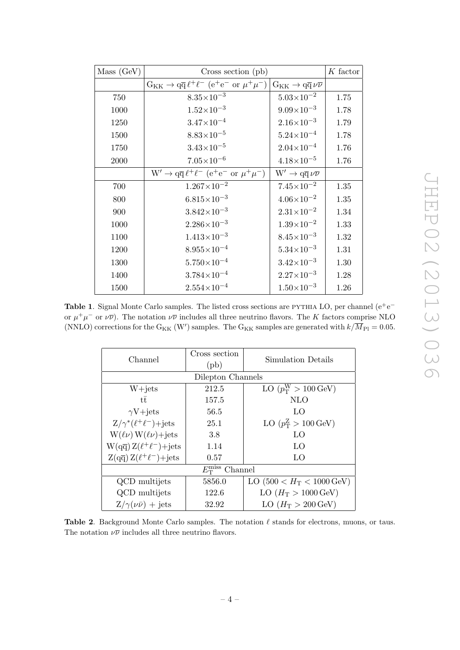| Mass(GeV) | Cross section (pb)                                                                                 | $K$ factor                                            |      |
|-----------|----------------------------------------------------------------------------------------------------|-------------------------------------------------------|------|
|           | $G_{KK} \rightarrow q\overline{q} \ell^+ \ell^-$ (e <sup>+</sup> e <sup>-</sup> or $\mu^+ \mu^-$ ) | $G_{KK} \rightarrow q\overline{q} \nu \overline{\nu}$ |      |
| 750       | $8.35 \times 10^{-3}$                                                                              | $5.03\times10^{-2}$                                   | 1.75 |
| 1000      | $1.52\times10^{-3}$                                                                                | $9.09\times10^{-3}$                                   | 1.78 |
| 1250      | $3.47\times10^{-4}$                                                                                | $2.16\times10^{-3}$                                   | 1.79 |
| 1500      | $8.83 \times 10^{-5}$                                                                              | $5.24\times10^{-4}$                                   | 1.78 |
| 1750      | $3.43\times10^{-5}$                                                                                | $2.04\times10^{-4}$                                   | 1.76 |
| 2000      | $7.05\times10^{-6}$                                                                                | $4.18 \times 10^{-5}$                                 | 1.76 |
|           | $W' \rightarrow q\overline{q} \ell^+ \ell^-$ (e <sup>+</sup> e <sup>-</sup> or $\mu^+ \mu^-$ )     | $W' \to q\overline{q} \nu \overline{\nu}$             |      |
| 700       | $1.267\times10^{-2}$                                                                               | $7.45\times10^{-2}$                                   | 1.35 |
| 800       | $6.815\times10^{-3}$                                                                               | $4.06\times10^{-2}$                                   | 1.35 |
| 900       | $3.842\times10^{-3}$                                                                               | $2.31{\times}10^{-2}$                                 | 1.34 |
| 1000      | $2.286{\times}10^{-3}$                                                                             | $1.39{\times}10^{-2}$                                 | 1.33 |
| 1100      | $1.413\times10^{-3}$                                                                               | $8.45 \times 10^{-3}$                                 | 1.32 |
| 1200      | $8.955 \times 10^{-4}$                                                                             | $5.34\times10^{-3}$                                   | 1.31 |
| 1300      | $5.750\times10^{-4}$                                                                               | $3.42\times10^{-3}$                                   | 1.30 |
| 1400      | $3.784 \times 10^{-4}$                                                                             | $2.27\times10^{-3}$                                   | 1.28 |
| 1500      | $2.554{\times}10^{-4}$                                                                             | $1.50\times10^{-3}$                                   | 1.26 |

<span id="page-4-0"></span>Table 1. Signal Monte Carlo samples. The listed cross sections are PYTHIA LO, per channel  $(e^+e^-)$ or  $\mu^+\mu^-$  or  $\nu\overline{\nu}$ ). The notation  $\nu\overline{\nu}$  includes all three neutrino flavors. The K factors comprise NLO (NNLO) corrections for the  $G_{KK}$  (W') samples. The  $G_{KK}$  samples are generated with  $k/\overline{M}_{\text{Pl}} = 0.05$ .

| Channel                                       | Cross section | Simulation Details                    |  |  |  |  |  |  |
|-----------------------------------------------|---------------|---------------------------------------|--|--|--|--|--|--|
|                                               | $(\text{pb})$ |                                       |  |  |  |  |  |  |
| Dilepton Channels                             |               |                                       |  |  |  |  |  |  |
| $W+jets$                                      | 212.5         | LO $(p_T^{\rm W} > 100 \,\text{GeV})$ |  |  |  |  |  |  |
| $t\overline{t}$                               | 157.5         | <b>NLO</b>                            |  |  |  |  |  |  |
| $\gamma V + jets$                             | 56.5          | LO                                    |  |  |  |  |  |  |
| $Z/\gamma^*(\ell^+\ell^-)+\text{jets}$        | 25.1          | LO $(p_T^Z > 100 \,\text{GeV})$       |  |  |  |  |  |  |
| $W(\ell\nu) W(\ell\nu) + jets$                | 3.8           | LO                                    |  |  |  |  |  |  |
| $W(q\overline{q})Z(\ell^+\ell^-)+jets$        | 1.14          | LO                                    |  |  |  |  |  |  |
| $Z(q\overline{q})Z(\ell^+\ell^-)+\text{jets}$ | 0.57          | LO                                    |  |  |  |  |  |  |
| $E_{\rm T}^{\rm miss}$<br>Channel             |               |                                       |  |  |  |  |  |  |
| QCD multijets                                 | 5856.0        | LO $(500 < H_T < 1000 \,\text{GeV})$  |  |  |  |  |  |  |
| QCD multijets                                 | 122.6         | LO $(H_T > 1000 \,\text{GeV})$        |  |  |  |  |  |  |
| $Z/\gamma(\nu\bar{\nu})$ + jets               | 32.92         | LO $(H_T > 200 \text{ GeV})$          |  |  |  |  |  |  |

<span id="page-4-1"></span>Table 2. Background Monte Carlo samples. The notation  $\ell$  stands for electrons, muons, or taus. The notation  $\nu\overline{\nu}$  includes all three neutrino flavors.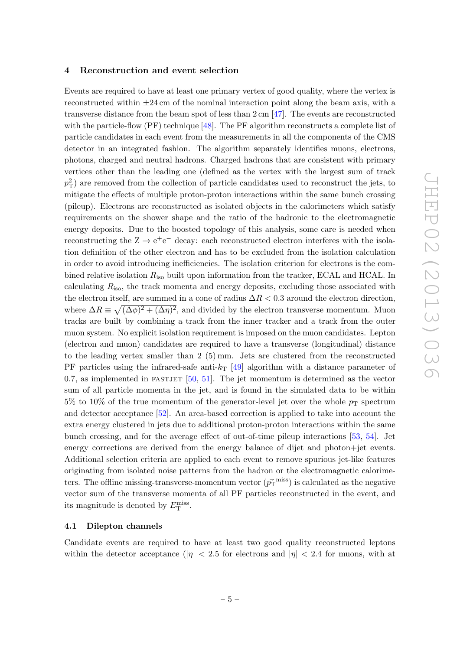#### <span id="page-5-0"></span>4 Reconstruction and event selection

Events are required to have at least one primary vertex of good quality, where the vertex is reconstructed within  $\pm 24$  cm of the nominal interaction point along the beam axis, with a transverse distance from the beam spot of less than  $2 \text{ cm}$  [\[47\]](#page-22-13). The events are reconstructed with the particle-flow (PF) technique [\[48\]](#page-22-14). The PF algorithm reconstructs a complete list of particle candidates in each event from the measurements in all the components of the CMS detector in an integrated fashion. The algorithm separately identifies muons, electrons, photons, charged and neutral hadrons. Charged hadrons that are consistent with primary vertices other than the leading one (defined as the vertex with the largest sum of track  $p_T^2$ ) are removed from the collection of particle candidates used to reconstruct the jets, to mitigate the effects of multiple proton-proton interactions within the same bunch crossing (pileup). Electrons are reconstructed as isolated objects in the calorimeters which satisfy requirements on the shower shape and the ratio of the hadronic to the electromagnetic energy deposits. Due to the boosted topology of this analysis, some care is needed when reconstructing the  $Z \to e^+e^-$  decay: each reconstructed electron interferes with the isolation definition of the other electron and has to be excluded from the isolation calculation in order to avoid introducing inefficiencies. The isolation criterion for electrons is the combined relative isolation  $R_{\text{iso}}$  built upon information from the tracker, ECAL and HCAL. In calculating  $R_{\text{iso}}$ , the track momenta and energy deposits, excluding those associated with the electron itself, are summed in a cone of radius  $\Delta R < 0.3$  around the electron direction, where  $\Delta R \equiv \sqrt{(\Delta \phi)^2 + (\Delta \eta)^2}$ , and divided by the electron transverse momentum. Muon tracks are built by combining a track from the inner tracker and a track from the outer muon system. No explicit isolation requirement is imposed on the muon candidates. Lepton (electron and muon) candidates are required to have a transverse (longitudinal) distance to the leading vertex smaller than 2 (5) mm. Jets are clustered from the reconstructed PF particles using the infrared-safe anti- $k_T$  [\[49\]](#page-22-15) algorithm with a distance parameter of 0.7, as implemented in FASTJET  $[50, 51]$  $[50, 51]$  $[50, 51]$ . The jet momentum is determined as the vector sum of all particle momenta in the jet, and is found in the simulated data to be within 5% to 10% of the true momentum of the generator-level jet over the whole  $p_T$  spectrum and detector acceptance [\[52\]](#page-23-1). An area-based correction is applied to take into account the extra energy clustered in jets due to additional proton-proton interactions within the same bunch crossing, and for the average effect of out-of-time pileup interactions [\[53,](#page-23-2) [54\]](#page-23-3). Jet energy corrections are derived from the energy balance of dijet and photon+jet events. Additional selection criteria are applied to each event to remove spurious jet-like features originating from isolated noise patterns from the hadron or the electromagnetic calorimeters. The offline missing-transverse-momentum vector  $(\vec{p}_T^{\text{miss}})$  is calculated as the negative vector sum of the transverse momenta of all PF particles reconstructed in the event, and its magnitude is denoted by  $E_{\rm T}^{\rm miss}$ .

#### <span id="page-5-1"></span>4.1 Dilepton channels

Candidate events are required to have at least two good quality reconstructed leptons within the detector acceptance ( $|\eta| < 2.5$  for electrons and  $|\eta| < 2.4$  for muons, with at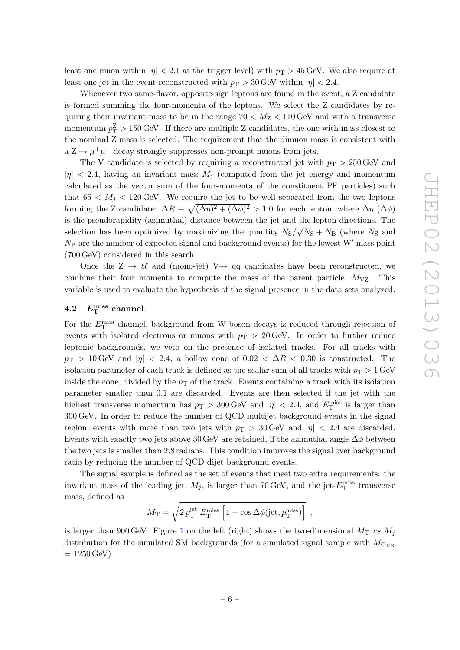least one muon within  $|\eta| < 2.1$  at the trigger level) with  $p_T > 45$  GeV. We also require at least one jet in the event reconstructed with  $p_T > 30$  GeV within  $|\eta| < 2.4$ .

Whenever two same-flavor, opposite-sign leptons are found in the event, a Z candidate is formed summing the four-momenta of the leptons. We select the Z candidates by requiring their invariant mass to be in the range  $70 < M_Z < 110$  GeV and with a transverse momentum  $p_T^Z > 150 \,\text{GeV}$ . If there are multiple Z candidates, the one with mass closest to the nominal Z mass is selected. The requirement that the dimuon mass is consistent with  $a Z \rightarrow \mu^+ \mu^-$  decay strongly suppresses non-prompt muons from jets.

The V candidate is selected by requiring a reconstructed jet with  $p_T > 250 \,\text{GeV}$  and  $|\eta|$  < 2.4, having an invariant mass  $M_i$  (computed from the jet energy and momentum calculated as the vector sum of the four-momenta of the constituent PF particles) such that  $65 < M_j < 120$  GeV. We require the jet to be well separated from the two leptons forming the Z candidate:  $\Delta R \equiv \sqrt{(\Delta \eta)^2 + (\Delta \phi)^2} > 1.0$  for each lepton, where  $\Delta \eta$  ( $\Delta \phi$ ) is the pseudorapidity (azimuthal) distance between the jet and the lepton directions. The selection has been optimized by maximizing the quantity  $N_{\rm S}/\sqrt{N_{\rm S}+N_{\rm B}}$  (where  $N_{\rm S}$  and  $N<sub>B</sub>$  are the number of expected signal and background events) for the lowest W' mass point (700 GeV) considered in this search.

Once the  $Z \to \ell \ell$  and (mono-jet) V $\rightarrow$  qq candidates have been reconstructed, we combine their four momenta to compute the mass of the parent particle,  $M_{VZ}$ . This variable is used to evaluate the hypothesis of the signal presence in the data sets analyzed.

## <span id="page-6-0"></span> $4.2$   $E_{\rm T}^{\rm miss}$  channel

For the  $E_{\rm T}^{\rm miss}$  channel, background from W-boson decays is reduced through rejection of events with isolated electrons or muons with  $p_T > 20$  GeV. In order to further reduce leptonic backgrounds, we veto on the presence of isolated tracks. For all tracks with  $p_T > 10$  GeV and  $|\eta| < 2.4$ , a hollow cone of  $0.02 < \Delta R < 0.30$  is constructed. The isolation parameter of each track is defined as the scalar sum of all tracks with  $p_T > 1$  GeV inside the cone, divided by the  $p<sub>T</sub>$  of the track. Events containing a track with its isolation parameter smaller than 0.1 are discarded. Events are then selected if the jet with the highest transverse momentum has  $p_T > 300 \,\text{GeV}$  and  $|\eta| < 2.4$ , and  $E_T^{\text{miss}}$  is larger than 300 GeV. In order to reduce the number of QCD multijet background events in the signal region, events with more than two jets with  $p_T > 30$  GeV and  $|\eta| < 2.4$  are discarded. Events with exactly two jets above 30 GeV are retained, if the azimuthal angle  $\Delta \phi$  between the two jets is smaller than 2.8 radians. This condition improves the signal over background ratio by reducing the number of QCD dijet background events.

The signal sample is defined as the set of events that meet two extra requirements: the invariant mass of the leading jet,  $M_j$ , is larger than 70 GeV, and the jet- $E_T^{\text{miss}}$  transverse mass, defined as

$$
M_{\rm T} = \sqrt{2 p_{\rm T}^{\rm jet} E_{\rm T}^{\rm miss} \left[1 - \cos \Delta \phi (\rm jet, p_{\rm T}^{\rm miss})\right]} ,
$$

is larger than 900 GeV. Figure [1](#page-7-2) on the left (right) shows the two-dimensional  $M_T$  vs  $M_j$ distribution for the simulated SM backgrounds (for a simulated signal sample with  $M_{\rm G_KK}$  $= 1250 \,\text{GeV}$ ).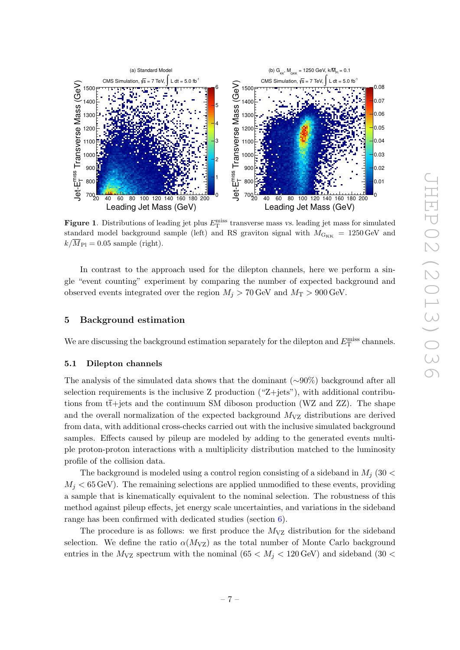

<span id="page-7-2"></span>Figure 1. Distributions of leading jet plus  $E_{\textrm{T}}^{\textrm{miss}}$  transverse mass vs. leading jet mass for simulated standard model background sample (left) and RS graviton signal with  $M_{G_{KK}} = 1250 \text{ GeV}$  and  $k/\overline{M}_{\text{Pl}} = 0.05$  sample (right).

In contrast to the approach used for the dilepton channels, here we perform a single "event counting" experiment by comparing the number of expected background and observed events integrated over the region  $M_j > 70$  GeV and  $M_T > 900$  GeV.

### <span id="page-7-0"></span>5 Background estimation

We are discussing the background estimation separately for the dilepton and  $E_{\rm T}^{\rm miss}$  channels.

#### <span id="page-7-1"></span>5.1 Dilepton channels

The analysis of the simulated data shows that the dominant (∼90%) background after all selection requirements is the inclusive Z production ("Z+jets"), with additional contributions from  $t\bar{t}$ +jets and the continuum SM diboson production (WZ and ZZ). The shape and the overall normalization of the expected background  $M_{VZ}$  distributions are derived from data, with additional cross-checks carried out with the inclusive simulated background samples. Effects caused by pileup are modeled by adding to the generated events multiple proton-proton interactions with a multiplicity distribution matched to the luminosity profile of the collision data.

The background is modeled using a control region consisting of a sideband in  $M_i$  (30  $<$  $M_i < 65 \,\text{GeV}$ ). The remaining selections are applied unmodified to these events, providing a sample that is kinematically equivalent to the nominal selection. The robustness of this method against pileup effects, jet energy scale uncertainties, and variations in the sideband range has been confirmed with dedicated studies (section [6\)](#page-10-0).

The procedure is as follows: we first produce the  $M_{VZ}$  distribution for the sideband selection. We define the ratio  $\alpha(M_{VZ})$  as the total number of Monte Carlo background entries in the  $M_{VZ}$  spectrum with the nominal (65 <  $M_j$  < 120 GeV) and sideband (30 <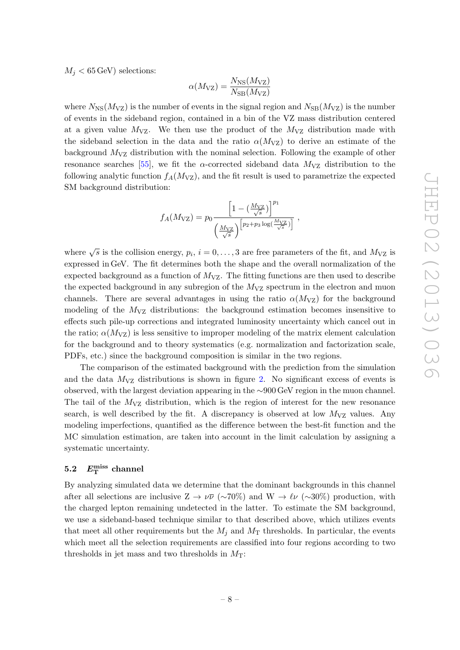$M_j < 65$  GeV) selections:

$$
\alpha(M_{\rm VZ}) = \frac{N_{\rm NS}(M_{\rm VZ})}{N_{\rm SB}(M_{\rm VZ})}
$$

where  $N_{\rm NS}(M_{\rm VZ})$  is the number of events in the signal region and  $N_{\rm SB}(M_{\rm VZ})$  is the number of events in the sideband region, contained in a bin of the VZ mass distribution centered at a given value  $M_{VZ}$ . We then use the product of the  $M_{VZ}$  distribution made with the sideband selection in the data and the ratio  $\alpha(M_{VZ})$  to derive an estimate of the background  $M_{VZ}$  distribution with the nominal selection. Following the example of other resonance searches [\[55\]](#page-23-4), we fit the  $\alpha$ -corrected sideband data  $M_{VZ}$  distribution to the following analytic function  $f_A(M_{VZ})$ , and the fit result is used to parametrize the expected SM background distribution:

$$
f_A(M_{\rm VZ}) = p_0 \frac{\left[1 - \left(\frac{M_{\rm VZ}}{\sqrt{s}}\right)\right]^{p_1}}{\left(\frac{M_{\rm VZ}}{\sqrt{s}}\right)\left[p_2 + p_3\log\left(\frac{M_{\rm VZ}}{\sqrt{s}}\right)\right]} \ ,
$$

where  $\sqrt{s}$  is the collision energy,  $p_i$ ,  $i = 0, \ldots, 3$  are free parameters of the fit, and  $M_{VZ}$  is expressed in GeV. The fit determines both the shape and the overall normalization of the expected background as a function of  $M_{VZ}$ . The fitting functions are then used to describe the expected background in any subregion of the  $M_{VZ}$  spectrum in the electron and muon channels. There are several advantages in using the ratio  $\alpha(M_{VZ})$  for the background modeling of the  $M_{VZ}$  distributions: the background estimation becomes insensitive to effects such pile-up corrections and integrated luminosity uncertainty which cancel out in the ratio;  $\alpha(M_{VZ})$  is less sensitive to improper modeling of the matrix element calculation for the background and to theory systematics (e.g. normalization and factorization scale, PDFs, etc.) since the background composition is similar in the two regions.

The comparison of the estimated background with the prediction from the simulation and the data  $M_{VZ}$  distributions is shown in figure [2.](#page-9-0) No significant excess of events is observed, with the largest deviation appearing in the ∼900 GeV region in the muon channel. The tail of the  $M_{VZ}$  distribution, which is the region of interest for the new resonance search, is well described by the fit. A discrepancy is observed at low  $M_{VZ}$  values. Any modeling imperfections, quantified as the difference between the best-fit function and the MC simulation estimation, are taken into account in the limit calculation by assigning a systematic uncertainty.

## <span id="page-8-0"></span> $5.2$   $E_{\rm T}^{\rm miss}$  channel

By analyzing simulated data we determine that the dominant backgrounds in this channel after all selections are inclusive  $Z \to \nu\bar{\nu}$  (∼70%) and  $W \to \ell\nu$  (∼30%) production, with the charged lepton remaining undetected in the latter. To estimate the SM background, we use a sideband-based technique similar to that described above, which utilizes events that meet all other requirements but the  $M_i$  and  $M_T$  thresholds. In particular, the events which meet all the selection requirements are classified into four regions according to two thresholds in jet mass and two thresholds in  $M_T$ :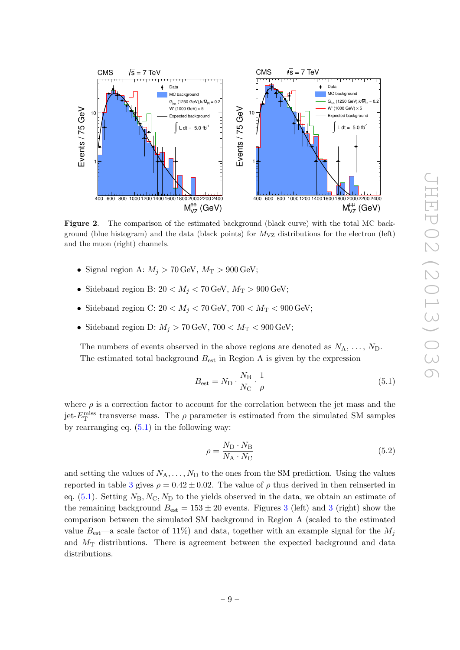

<span id="page-9-0"></span>Figure 2. The comparison of the estimated background (black curve) with the total MC background (blue histogram) and the data (black points) for  $M_{VZ}$  distributions for the electron (left) and the muon (right) channels.

- Signal region A:  $M_i > 70$  GeV,  $M_T > 900$  GeV;
- Sideband region B:  $20 < M_j < 70$  GeV,  $M_T > 900$  GeV;
- Sideband region C:  $20 < M_i < 70$  GeV,  $700 < M_T < 900$  GeV;
- Sideband region D:  $M_j > 70$  GeV,  $700 < M_T < 900$  GeV;

The numbers of events observed in the above regions are denoted as  $N_A, \ldots, N_D$ . The estimated total background  $B_{est}$  in Region A is given by the expression

<span id="page-9-1"></span>
$$
B_{\text{est}} = N_{\text{D}} \cdot \frac{N_{\text{B}}}{N_{\text{C}}} \cdot \frac{1}{\rho} \tag{5.1}
$$

where  $\rho$  is a correction factor to account for the correlation between the jet mass and the jet- $E_{\rm T}^{\rm miss}$  transverse mass. The  $\rho$  parameter is estimated from the simulated SM samples by rearranging eq.  $(5.1)$  in the following way:

$$
\rho = \frac{N_{\rm D} \cdot N_{\rm B}}{N_{\rm A} \cdot N_{\rm C}}\tag{5.2}
$$

and setting the values of  $N_A, \ldots, N_D$  to the ones from the SM prediction. Using the values reported in table [3](#page-10-3) gives  $\rho = 0.42 \pm 0.02$ . The value of  $\rho$  thus derived in then reinserted in eq.  $(5.1)$ . Setting  $N_{\rm B}$ ,  $N_{\rm C}$ ,  $N_{\rm D}$  to the yields observed in the data, we obtain an estimate of the remaining background  $B_{est} = 153 \pm 20$  $B_{est} = 153 \pm 20$  $B_{est} = 153 \pm 20$  events. Figures 3 (left) and 3 (right) show the comparison between the simulated SM background in Region A (scaled to the estimated value  $B_{est}$ —a scale factor of 11%) and data, together with an example signal for the  $M_i$ and  $M<sub>T</sub>$  distributions. There is agreement between the expected background and data distributions.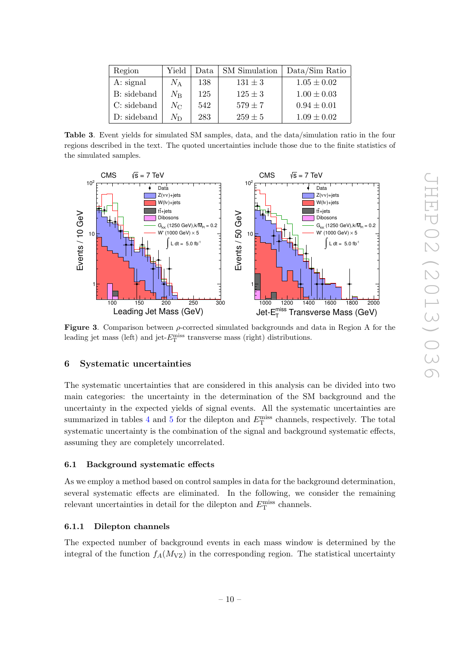| Region      | Yield       | Data | <b>SM</b> Simulation | Data/Sim Ratio  |
|-------------|-------------|------|----------------------|-----------------|
| A: signal   | $N_A$       | 138  | $131 \pm 3$          | $1.05 \pm 0.02$ |
| B: sideband | $N_{\rm B}$ | 125  | $125 \pm 3$          | $1.00 \pm 0.03$ |
| C: sideband | $N_{\rm C}$ | 542  | $579 \pm 7$          | $0.94 \pm 0.01$ |
| D: sideband | $N_{\rm D}$ | 283  | $259 \pm 5$          | $1.09 \pm 0.02$ |

<span id="page-10-3"></span>Table 3. Event yields for simulated SM samples, data, and the data/simulation ratio in the four regions described in the text. The quoted uncertainties include those due to the finite statistics of the simulated samples.



<span id="page-10-4"></span>Figure 3. Comparison between  $\rho$ -corrected simulated backgrounds and data in Region A for the leading jet mass (left) and jet- $E_{\rm T}^{\rm miss}$  transverse mass (right) distributions.

### <span id="page-10-0"></span>6 Systematic uncertainties

The systematic uncertainties that are considered in this analysis can be divided into two main categories: the uncertainty in the determination of the SM background and the uncertainty in the expected yields of signal events. All the systematic uncertainties are summarized in tables [4](#page-11-0) and [5](#page-12-1) for the dilepton and  $E_{\rm T}^{\rm miss}$  channels, respectively. The total systematic uncertainty is the combination of the signal and background systematic effects, assuming they are completely uncorrelated.

### <span id="page-10-1"></span>6.1 Background systematic effects

As we employ a method based on control samples in data for the background determination, several systematic effects are eliminated. In the following, we consider the remaining relevant uncertainties in detail for the dilepton and  $E_{\rm T}^{\rm miss}$  channels.

## <span id="page-10-2"></span>6.1.1 Dilepton channels

The expected number of background events in each mass window is determined by the integral of the function  $f_A(M_{VZ})$  in the corresponding region. The statistical uncertainty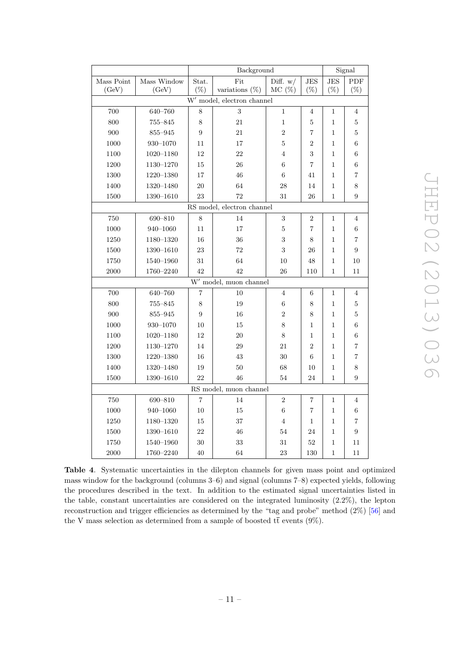|                                       |               | Background     |                                   |                  |                |              | Signal                  |  |
|---------------------------------------|---------------|----------------|-----------------------------------|------------------|----------------|--------------|-------------------------|--|
| Mass Point                            | Mass Window   | Stat.          | Fit                               | Diff. $w/$       | JES            | JES          | PDF                     |  |
| (GeV)                                 | (GeV)         | $(\%)$         | variations $(\%)$                 | MC(%)            | $(\%)$         | $(\%)$       | $(\%)$                  |  |
| $\mathbf{W}'$ model, electron channel |               |                |                                   |                  |                |              |                         |  |
| 700                                   | 640-760       | 8              | 3                                 | $\mathbf{1}$     | 4              | $\mathbf{1}$ | $\overline{4}$          |  |
| 800                                   | 755-845       | 8              | 21                                | $\mathbf{1}$     | 5              | $\mathbf{1}$ | $\overline{5}$          |  |
| 900                                   | 855-945       | 9              | 21                                | $\overline{2}$   | $\overline{7}$ | $\mathbf{1}$ | $\overline{5}$          |  |
| 1000                                  | $930 - 1070$  | 11             | 17                                | 5                | $\overline{2}$ | $\mathbf{1}$ | 6                       |  |
| 1100                                  | $1020 - 1180$ | 12             | 22                                | $\overline{4}$   | 3              | $\mathbf{1}$ | 6                       |  |
| 1200                                  | 1130-1270     | 15             | 26                                | 6                | $\overline{7}$ | $\mathbf{1}$ | 6                       |  |
| 1300                                  | 1220-1380     | 17             | 46                                | 6                | 41             | $\mathbf{1}$ | $\overline{7}$          |  |
| 1400                                  | $1320 - 1480$ | 20             | 64                                | 28               | 14             | 1            | 8                       |  |
| 1500                                  | 1390-1610     | 23             | 72                                | 31               | 26             | $\mathbf{1}$ | 9                       |  |
|                                       |               |                | RS model, electron channel        |                  |                |              |                         |  |
| 750                                   | $690 - 810$   | 8              | 14                                | $\boldsymbol{3}$ | $\overline{2}$ | 1            | $\overline{4}$          |  |
| 1000                                  | 940-1060      | 11             | 17                                | 5                | $\overline{7}$ | $\mathbf{1}$ | 6                       |  |
| 1250                                  | 1180-1320     | 16             | 36                                | 3                | 8              | $\mathbf{1}$ | 7                       |  |
| 1500                                  | 1390-1610     | 23             | 72                                | 3                | 26             | $\mathbf{1}$ | 9                       |  |
| 1750                                  | 1540-1960     | 31             | 64                                | 10               | 48             | 1            | 10                      |  |
| 2000                                  | 1760-2240     | 42             | 42                                | 26               | 110            | 1            | 11                      |  |
|                                       |               |                | $\mathbf{W}'$ model, muon channel |                  |                |              |                         |  |
| 700                                   | 640-760       | $\overline{7}$ | 10                                | $\overline{4}$   | 6              | $\mathbf{1}$ | $\overline{4}$          |  |
| 800                                   | 755-845       | 8              | 19                                | 6                | 8              | $\mathbf{1}$ | $\bf 5$                 |  |
| 900                                   | $855 - 945$   | 9              | 16                                | $\overline{2}$   | 8              | $\mathbf{1}$ | $\bf 5$                 |  |
| 1000                                  | $930 - 1070$  | 10             | 15                                | 8                | $\mathbf{1}$   | $\mathbf{1}$ | 6                       |  |
| 1100                                  | $1020 - 1180$ | 12             | 20                                | 8                | $\mathbf{1}$   | $\mathbf{1}$ | 6                       |  |
| 1200                                  | $1130 - 1270$ | 14             | 29                                | 21               | $\overline{2}$ | $\mathbf{1}$ | 7                       |  |
| 1300                                  | 1220-1380     | 16             | 43                                | 30               | 6              | 1            | $\overline{\mathbf{7}}$ |  |
| 1400                                  | 1320-1480     | 19             | 50                                | 68               | 10             | $\mathbf{1}$ | 8                       |  |
| 1500                                  | $1390 - 1610$ | 22             | 46                                | 54               | 24             | $\mathbf{1}$ | 9                       |  |
|                                       |               |                | RS model, muon channel            |                  |                |              |                         |  |
| 750                                   | 690-810       | $\overline{7}$ | 14                                | $\overline{2}$   | 7              | $\mathbf{1}$ | $\overline{4}$          |  |
| 1000                                  | 940-1060      | 10             | 15                                | 6                | $\overline{7}$ | $\mathbf{1}$ | 6                       |  |
| 1250                                  | 1180-1320     | 15             | 37                                | $\overline{4}$   | $\mathbf{1}$   | $\mathbf{1}$ | $\overline{7}$          |  |
| 1500                                  | 1390-1610     | 22             | 46                                | 54               | 24             | $\mathbf{1}$ | 9                       |  |
| 1750                                  | $1540 - 1960$ | 30             | 33                                | 31               | 52             | 1            | 11                      |  |
| 2000                                  | 1760-2240     | 40             | 64                                | 23               | 130            | $\mathbf{1}$ | 11                      |  |

<span id="page-11-0"></span>Table 4. Systematic uncertainties in the dilepton channels for given mass point and optimized mass window for the background (columns 3–6) and signal (columns 7–8) expected yields, following the procedures described in the text. In addition to the estimated signal uncertainties listed in the table, constant uncertainties are considered on the integrated luminosity (2.2%), the lepton reconstruction and trigger efficiencies as determined by the "tag and probe" method (2%) [\[56\]](#page-23-5) and the V mass selection as determined from a sample of boosted  $t\bar{t}$  events (9%).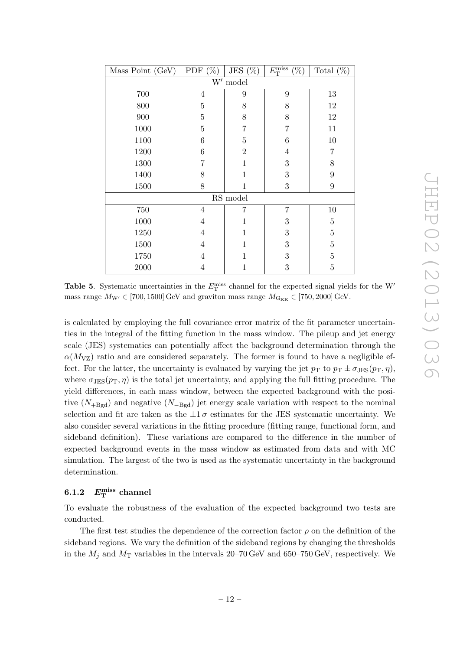| Mass Point (GeV) | PDF $(\%)$     | JES $(\%)$     | $E_{\rm T}^{\rm miss}$<br>$(\% )$ | Total $(\%)$     |  |  |  |  |
|------------------|----------------|----------------|-----------------------------------|------------------|--|--|--|--|
| W' model         |                |                |                                   |                  |  |  |  |  |
| 700              | $\overline{4}$ | 9              | 9                                 | 13               |  |  |  |  |
| 800              | $\overline{5}$ | 8              | 8                                 | 12               |  |  |  |  |
| 900              | $\overline{5}$ | 8              | 8                                 | 12               |  |  |  |  |
| 1000             | $\overline{5}$ | 7              | 7                                 | 11               |  |  |  |  |
| 1100             | 6              | $\overline{5}$ | 6                                 | 10               |  |  |  |  |
| 1200             | 6              | $\overline{2}$ | $\overline{4}$                    | 7                |  |  |  |  |
| 1300             | 7              | 1              | 3                                 | 8                |  |  |  |  |
| 1400             | 8              | 1              | 3                                 | $\boldsymbol{9}$ |  |  |  |  |
| 1500             | 8              | 1              | 3                                 | 9                |  |  |  |  |
|                  |                | RS model       |                                   |                  |  |  |  |  |
| 750              | $\overline{4}$ | 7              | 7                                 | 10               |  |  |  |  |
| 1000             | $\overline{4}$ | 1              | 3                                 | $\overline{5}$   |  |  |  |  |
| 1250             | $\overline{4}$ | 1              | 3                                 | $\overline{5}$   |  |  |  |  |
| 1500             | $\overline{4}$ | 1              | 3                                 | $\overline{5}$   |  |  |  |  |
| 1750             | 4              | 1              | 3                                 | $\overline{5}$   |  |  |  |  |
| 2000             | 4              | 1              | 3                                 | $\overline{5}$   |  |  |  |  |

<span id="page-12-1"></span>**Table 5.** Systematic uncertainties in the  $E_T^{\text{miss}}$  channel for the expected signal yields for the W' mass range  $M_{W'} \in [700, 1500]$  GeV and graviton mass range  $M_{G_{KK}} \in [750, 2000]$  GeV.

is calculated by employing the full covariance error matrix of the fit parameter uncertainties in the integral of the fitting function in the mass window. The pileup and jet energy scale (JES) systematics can potentially affect the background determination through the  $\alpha(M_{VZ})$  ratio and are considered separately. The former is found to have a negligible effect. For the latter, the uncertainty is evaluated by varying the jet  $p_T$  to  $p_T \pm \sigma_{JES}(p_T, \eta)$ , where  $\sigma_{\text{JES}}(p_{\text{T}}, \eta)$  is the total jet uncertainty, and applying the full fitting procedure. The yield differences, in each mass window, between the expected background with the positive  $(N_{+\text{Bgd}})$  and negative  $(N_{-\text{Bgd}})$  jet energy scale variation with respect to the nominal selection and fit are taken as the  $\pm 1\sigma$  estimates for the JES systematic uncertainty. We also consider several variations in the fitting procedure (fitting range, functional form, and sideband definition). These variations are compared to the difference in the number of expected background events in the mass window as estimated from data and with MC simulation. The largest of the two is used as the systematic uncertainty in the background determination.

## <span id="page-12-0"></span>6.1.2  $E_{\rm T}^{\rm miss}$  channel

To evaluate the robustness of the evaluation of the expected background two tests are conducted.

The first test studies the dependence of the correction factor  $\rho$  on the definition of the sideband regions. We vary the definition of the sideband regions by changing the thresholds in the  $M_i$  and  $M_T$  variables in the intervals 20–70 GeV and 650–750 GeV, respectively. We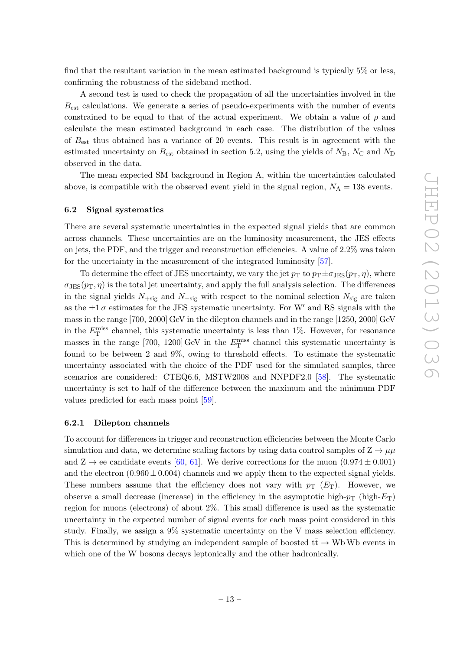find that the resultant variation in the mean estimated background is typically 5% or less, confirming the robustness of the sideband method.

A second test is used to check the propagation of all the uncertainties involved in the  $B_{est}$  calculations. We generate a series of pseudo-experiments with the number of events constrained to be equal to that of the actual experiment. We obtain a value of  $\rho$  and calculate the mean estimated background in each case. The distribution of the values of  $B_{est}$  thus obtained has a variance of 20 events. This result is in agreement with the estimated uncertainty on  $B_{est}$  obtained in section 5.2, using the yields of  $N_B$ ,  $N_C$  and  $N_D$ observed in the data.

The mean expected SM background in Region A, within the uncertainties calculated above, is compatible with the observed event yield in the signal region,  $N_A = 138$  events.

#### <span id="page-13-0"></span>6.2 Signal systematics

There are several systematic uncertainties in the expected signal yields that are common across channels. These uncertainties are on the luminosity measurement, the JES effects on jets, the PDF, and the trigger and reconstruction efficiencies. A value of 2.2% was taken for the uncertainty in the measurement of the integrated luminosity [\[57\]](#page-23-6).

To determine the effect of JES uncertainty, we vary the jet  $p_T$  to  $p_T \pm \sigma_{JES}(p_T, \eta)$ , where  $\sigma_{\text{JES}}(p_{\text{T}}, \eta)$  is the total jet uncertainty, and apply the full analysis selection. The differences in the signal yields  $N_{+sig}$  and  $N_{-sig}$  with respect to the nominal selection  $N_{sig}$  are taken as the  $\pm 1\sigma$  estimates for the JES systematic uncertainty. For W' and RS signals with the mass in the range [700, 2000] GeV in the dilepton channels and in the range [1250, 2000] GeV in the  $E_{\rm T}^{\rm miss}$  channel, this systematic uncertainty is less than 1%. However, for resonance masses in the range [700, 1200] GeV in the  $E_{\rm T}^{\rm miss}$  channel this systematic uncertainty is found to be between 2 and 9%, owing to threshold effects. To estimate the systematic uncertainty associated with the choice of the PDF used for the simulated samples, three scenarios are considered: CTEQ6.6, MSTW2008 and NNPDF2.0 [\[58\]](#page-23-7). The systematic uncertainty is set to half of the difference between the maximum and the minimum PDF values predicted for each mass point [\[59\]](#page-23-8).

#### <span id="page-13-1"></span>6.2.1 Dilepton channels

To account for differences in trigger and reconstruction efficiencies between the Monte Carlo simulation and data, we determine scaling factors by using data control samples of  $Z \rightarrow \mu\mu$ and  $Z \rightarrow$  ee candidate events [\[60,](#page-23-9) [61\]](#page-23-10). We derive corrections for the muon (0.974  $\pm$  0.001) and the electron  $(0.960 \pm 0.004)$  channels and we apply them to the expected signal yields. These numbers assume that the efficiency does not vary with  $p_T$  ( $E_T$ ). However, we observe a small decrease (increase) in the efficiency in the asymptotic high- $p_T$  (high- $E_T$ ) region for muons (electrons) of about 2%. This small difference is used as the systematic uncertainty in the expected number of signal events for each mass point considered in this study. Finally, we assign a 9% systematic uncertainty on the V mass selection efficiency. This is determined by studying an independent sample of boosted  $t\bar{t} \rightarrow Wb\bar{W}b$  events in which one of the W bosons decays leptonically and the other hadronically.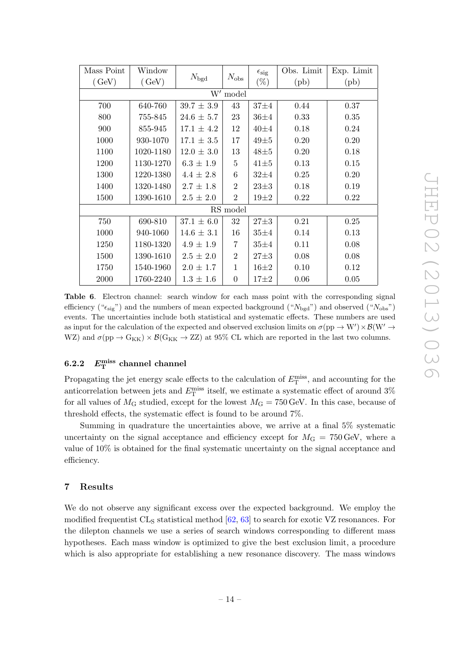| Mass Point                                                                                                                                                                                                                                                                                                         | Window    |                  |                | $\epsilon_{\rm sig}$ | Obs. Limit    | Exp. Limit    |  |  |  |
|--------------------------------------------------------------------------------------------------------------------------------------------------------------------------------------------------------------------------------------------------------------------------------------------------------------------|-----------|------------------|----------------|----------------------|---------------|---------------|--|--|--|
| (GeV)                                                                                                                                                                                                                                                                                                              | (GeV)     | $N_{\text{bgd}}$ | $N_{\rm obs}$  | $(\%)$               | $(\text{pb})$ | $(\text{pb})$ |  |  |  |
| W' model                                                                                                                                                                                                                                                                                                           |           |                  |                |                      |               |               |  |  |  |
| 700                                                                                                                                                                                                                                                                                                                | 640-760   | $39.7 \pm 3.9$   | 43             | $37\pm4$             | 0.44          | 0.37          |  |  |  |
| 800                                                                                                                                                                                                                                                                                                                | 755-845   | $24.6 \pm 5.7$   | 23             | $36\pm4$             | 0.33          | $0.35\,$      |  |  |  |
| 900                                                                                                                                                                                                                                                                                                                | 855-945   | $17.1 \pm 4.2$   | 12             | $40\pm4$             | 0.18          | 0.24          |  |  |  |
| 1000                                                                                                                                                                                                                                                                                                               | 930-1070  | $17.1 \pm 3.5$   | 17             | $49\pm5$             | 0.20          | 0.20          |  |  |  |
| 1100                                                                                                                                                                                                                                                                                                               | 1020-1180 | $12.0 \pm 3.0$   | 13             | $48\pm5$             | $0.20\,$      | 0.18          |  |  |  |
| 1200                                                                                                                                                                                                                                                                                                               | 1130-1270 | $6.3 \pm 1.9$    | $\overline{5}$ | $41\pm5$             | 0.13          | 0.15          |  |  |  |
| 1300                                                                                                                                                                                                                                                                                                               | 1220-1380 | $4.4 \pm 2.8$    | 6              | $32 \pm 4$           | $0.25\,$      | 0.20          |  |  |  |
| 1400                                                                                                                                                                                                                                                                                                               | 1320-1480 | $2.7 \pm 1.8$    | $\overline{2}$ | $23\pm3$             | $0.18\,$      | 0.19          |  |  |  |
| 1500                                                                                                                                                                                                                                                                                                               | 1390-1610 | $2.5 \pm 2.0$    | $\overline{2}$ | $19\pm2$             | 0.22          | 0.22          |  |  |  |
|                                                                                                                                                                                                                                                                                                                    |           |                  | RS model       |                      |               |               |  |  |  |
| 750                                                                                                                                                                                                                                                                                                                | 690-810   | $37.1 \pm 6.0$   | 32             | $27 \pm 3$           | 0.21          | 0.25          |  |  |  |
| 1000                                                                                                                                                                                                                                                                                                               | 940-1060  | $14.6 \pm 3.1$   | 16             | $35\pm4$             | 0.14          | 0.13          |  |  |  |
| 1250                                                                                                                                                                                                                                                                                                               | 1180-1320 | $4.9 \pm 1.9$    | 7              | $35 \pm 4$           | 0.11          | 0.08          |  |  |  |
| 1500                                                                                                                                                                                                                                                                                                               | 1390-1610 | $2.5 \pm 2.0$    | $\overline{2}$ | $27 + 3$             | 0.08          | 0.08          |  |  |  |
| 1750                                                                                                                                                                                                                                                                                                               | 1540-1960 | $2.0 \pm 1.7$    | $\mathbf{1}$   | $16\pm2$             | 0.10          | 0.12          |  |  |  |
| 2000                                                                                                                                                                                                                                                                                                               | 1760-2240 | $1.3 \pm 1.6$    | $\overline{0}$ | $17\pm2$             | 0.06          | 0.05          |  |  |  |
| <b>6.</b> Electron channel: search window for each mass point with the corresponding signal<br>ncy (" $\epsilon_{sig}$ ") and the numbers of mean expected background (" $N_{bgd}$ ") and observed (" $N_{obs}$ ")<br>s. The uncertainties include both statistical and systematic effects. These numbers are used |           |                  |                |                      |               |               |  |  |  |

<span id="page-14-2"></span>Table 6. Electron channel: search window efficiency (" $\epsilon_{\text{sig}}$ ") and the numbers of mean exp events. The uncertainties include both statistic as input for the calculation of the expected and observed exclusion limits on  $\sigma(pp \to W') \times \mathcal{B}(W' \to$ WZ) and  $\sigma(pp \to G_{KK}) \times \mathcal{B}(G_{KK} \to ZZ)$  at 95% CL which are reported in the last two columns.

## <span id="page-14-0"></span> $6.2.2$   $E_{\rm T}^{\rm miss}$  channel channel

Propagating the jet energy scale effects to the calculation of  $E_{\rm T}^{\rm miss}$ , and accounting for the anticorrelation between jets and  $E_{\rm T}^{\rm miss}$  itself, we estimate a systematic effect of around  $3\%$ for all values of  $M<sub>G</sub>$  studied, except for the lowest  $M<sub>G</sub> = 750$  GeV. In this case, because of threshold effects, the systematic effect is found to be around 7%.

Summing in quadrature the uncertainties above, we arrive at a final 5% systematic uncertainty on the signal acceptance and efficiency except for  $M<sub>G</sub> = 750$  GeV, where a value of 10% is obtained for the final systematic uncertainty on the signal acceptance and efficiency.

## <span id="page-14-1"></span>7 Results

We do not observe any significant excess over the expected background. We employ the modified frequentist  $CL_S$  statistical method [\[62,](#page-23-11) [63\]](#page-23-12) to search for exotic VZ resonances. For the dilepton channels we use a series of search windows corresponding to different mass hypotheses. Each mass window is optimized to give the best exclusion limit, a procedure which is also appropriate for establishing a new resonance discovery. The mass windows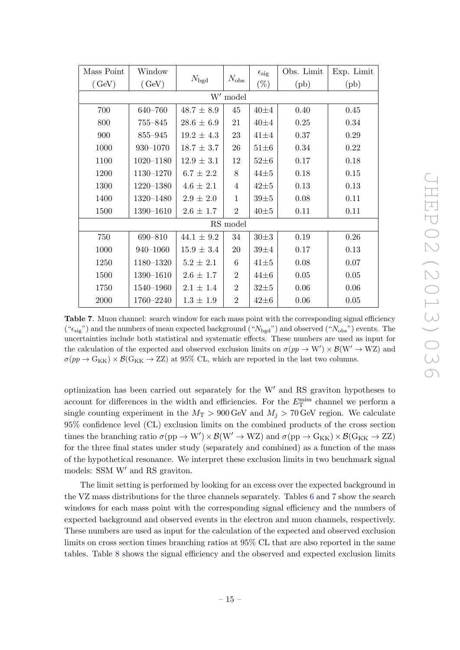| Mass Point | Window        |                  |                | $\epsilon_{\rm sig}$ | Obs. Limit    | Exp. Limit |  |  |  |
|------------|---------------|------------------|----------------|----------------------|---------------|------------|--|--|--|
| (GeV)      | (GeV)         | $N_{\text{bgd}}$ | $N_{\rm obs}$  | $(\%)$               | $(\text{pb})$ | (pb)       |  |  |  |
|            | W'<br>model   |                  |                |                      |               |            |  |  |  |
| 700        | 640-760       | $48.7 \pm 8.9$   | 45             | $40\pm4$             | 0.40          | 0.45       |  |  |  |
| 800        | 755-845       | $28.6 \pm 6.9$   | 21             | $40\pm4$             | 0.25          | 0.34       |  |  |  |
| 900        | 855-945       | $19.2 \pm 4.3$   | 23             | $41\pm4$             | 0.37          | 0.29       |  |  |  |
| 1000       | 930-1070      | $18.7 \pm 3.7$   | 26             | $51\pm6$             | 0.34          | 0.22       |  |  |  |
| 1100       | $1020 - 1180$ | $12.9 \pm 3.1$   | 12             | $52\pm 6$            | 0.17          | 0.18       |  |  |  |
| 1200       | 1130-1270     | $6.7 \pm 2.2$    | 8              | $44\pm5$             | 0.18          | 0.15       |  |  |  |
| 1300       | 1220-1380     | $4.6 \pm 2.1$    | $\overline{4}$ | $42\pm5$             | 0.13          | 0.13       |  |  |  |
| 1400       | 1320-1480     | $2.9 \pm 2.0$    | 1              | $39\pm5$             | 0.08          | 0.11       |  |  |  |
| 1500       | 1390-1610     | $2.6 \pm 1.7$    | $\overline{2}$ | $40\pm5$             | 0.11          | 0.11       |  |  |  |
|            |               |                  | RS model       |                      |               |            |  |  |  |
| 750        | $690 - 810$   | $44.1 \pm 9.2$   | 34             | $30\pm3$             | 0.19          | 0.26       |  |  |  |
| 1000       | 940-1060      | $15.9 \pm 3.4$   | 20             | $39 \pm 4$           | 0.17          | 0.13       |  |  |  |
| 1250       | 1180-1320     | $5.2 \pm 2.1$    | 6              | $41\pm5$             | 0.08          | 0.07       |  |  |  |
| 1500       | 1390-1610     | $2.6 \pm 1.7$    | $\overline{2}$ | $44\pm 6$            | 0.05          | 0.05       |  |  |  |
| 1750       | 1540-1960     | $2.1 \pm 1.4$    | $\overline{2}$ | $32\pm5$             | 0.06          | 0.06       |  |  |  |
| 2000       | 1760-2240     | $1.3 \pm 1.9$    | $\overline{2}$ | $42\pm 6$            | 0.06          | 0.05       |  |  |  |

<span id="page-15-0"></span>Table 7. Muon channel: search window for each mass point with the corresponding signal efficiency  $({}^{\omega}\epsilon_{\rm sig}$ ") and the numbers of mean expected background  $({}^{\omega}N_{\rm bgd}$ ") and observed  $({}^{\omega}N_{\rm obs}$ ") events. The uncertainties include both statistical and systematic effects. These numbers are used as input for the calculation of the expected and observed exclusion limits on  $\sigma(pp \to W') \times \mathcal{B}(W' \to WZ)$  and  $\sigma(pp \to G_{\text{KK}}) \times \mathcal{B}(G_{\text{KK}} \to ZZ)$  at 95% CL, which are reported in the last two columns.

optimization has been carried out separately for the  $W'$  and RS graviton hypotheses to account for differences in the width and efficiencies. For the  $E_{\rm T}^{\rm miss}$  channel we perform a single counting experiment in the  $M_T > 900$  GeV and  $M_j > 70$  GeV region. We calculate 95% confidence level (CL) exclusion limits on the combined products of the cross section times the branching ratio  $\sigma(pp \to W') \times \mathcal{B}(W' \to WZ)$  and  $\sigma(pp \to G_{KK}) \times \mathcal{B}(G_{KK} \to ZZ)$ for the three final states under study (separately and combined) as a function of the mass of the hypothetical resonance. We interpret these exclusion limits in two benchmark signal models: SSM W' and RS graviton.

The limit setting is performed by looking for an excess over the expected background in the VZ mass distributions for the three channels separately. Tables [6](#page-14-2) and [7](#page-15-0) show the search windows for each mass point with the corresponding signal efficiency and the numbers of expected background and observed events in the electron and muon channels, respectively. These numbers are used as input for the calculation of the expected and observed exclusion limits on cross section times branching ratios at 95% CL that are also reported in the same tables. Table [8](#page-16-0) shows the signal efficiency and the observed and expected exclusion limits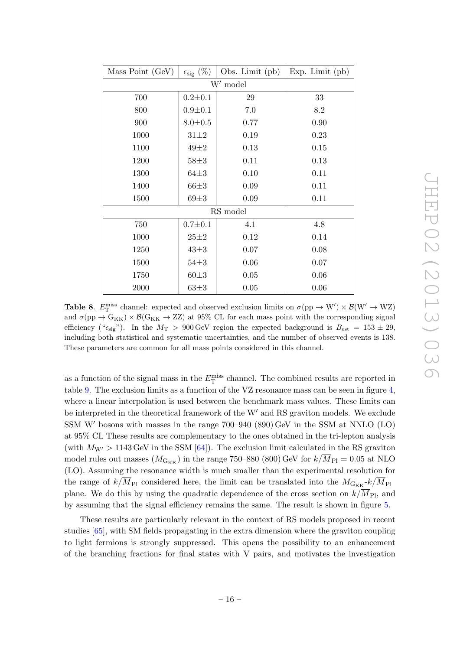| Mass Point (GeV) | $\epsilon_{\text{sig}}(\%)$ | Obs. Limit (pb) | Exp. Limit $(\text{pb})$ |  |  |  |  |  |
|------------------|-----------------------------|-----------------|--------------------------|--|--|--|--|--|
| W' model         |                             |                 |                          |  |  |  |  |  |
| 700              | $0.2 + 0.1$                 | 29              | 33                       |  |  |  |  |  |
| 800              | $0.9 + 0.1$                 | 7.0             | 8.2                      |  |  |  |  |  |
| 900              | $8.0 + 0.5$                 | 0.77            | 0.90                     |  |  |  |  |  |
| 1000             | $31\pm2$                    | 0.19            | 0.23                     |  |  |  |  |  |
| 1100             | $49\pm2$                    | 0.13            | 0.15                     |  |  |  |  |  |
| 1200             | $58 + 3$                    | 0.11            | 0.13                     |  |  |  |  |  |
| 1300             | $64 + 3$                    | 0.10            | 0.11                     |  |  |  |  |  |
| 1400             | $66\pm3$                    | 0.09            | 0.11                     |  |  |  |  |  |
| 1500             | $69\pm3$                    | 0.09            | 0.11                     |  |  |  |  |  |
|                  |                             | RS model        |                          |  |  |  |  |  |
| 750              | $0.7 + 0.1$                 | 4.1             | $4.8\,$                  |  |  |  |  |  |
| 1000             | $25 \pm 2$                  | 0.12            | 0.14                     |  |  |  |  |  |
| 1250             | $43\pm3$                    | 0.07            | 0.08                     |  |  |  |  |  |
| 1500             | $54\pm3$                    | 0.06            | 0.07                     |  |  |  |  |  |
| 1750             | $60\pm3$                    | 0.05            | 0.06                     |  |  |  |  |  |
| 2000             | $63\pm3$                    | $0.05\,$        | 0.06                     |  |  |  |  |  |

<span id="page-16-0"></span>**Table 8.**  $E_T^{\text{miss}}$  channel: expected and observed exclusion limits on  $\sigma(pp \to W') \times \mathcal{B}(W' \to WZ)$ and  $\sigma(pp \to G_{KK}) \times \mathcal{B}(G_{KK} \to ZZ)$  at 95% CL for each mass point with the corresponding signal efficiency (" $\epsilon_{sig}$ "). In the  $M_T > 900$  GeV region the expected background is  $B_{est} = 153 \pm 29$ , including both statistical and systematic uncertainties, and the number of observed events is 138. These parameters are common for all mass points considered in this channel.

as a function of the signal mass in the  $E_{\rm T}^{\rm miss}$  channel. The combined results are reported in table [9.](#page-17-1) The exclusion limits as a function of the VZ resonance mass can be seen in figure [4,](#page-18-0) where a linear interpolation is used between the benchmark mass values. These limits can be interpreted in the theoretical framework of the  $W'$  and RS graviton models. We exclude SSM W' bosons with masses in the range  $700-940$  (890) GeV in the SSM at NNLO (LO) at 95% CL These results are complementary to the ones obtained in the tri-lepton analysis (with  $M_{\text{W'}} > 1143 \text{ GeV}$  in the SSM [\[64\]](#page-23-13)). The exclusion limit calculated in the RS graviton model rules out masses  $(M_{G_{KK}})$  in the range 750–880 (800) GeV for  $k/\overline{M}_{\text{Pl}} = 0.05$  at NLO (LO). Assuming the resonance width is much smaller than the experimental resolution for the range of  $k/M_{\text{Pl}}$  considered here, the limit can be translated into the  $M_{\text{G}_{KK}}$ - $k/M_{\text{Pl}}$ plane. We do this by using the quadratic dependence of the cross section on  $k/\overline{M}_{\text{Pl}}$ , and by assuming that the signal efficiency remains the same. The result is shown in figure [5.](#page-19-0)

These results are particularly relevant in the context of RS models proposed in recent studies [\[65\]](#page-23-14), with SM fields propagating in the extra dimension where the graviton coupling to light fermions is strongly suppressed. This opens the possibility to an enhancement of the branching fractions for final states with V pairs, and motivates the investigation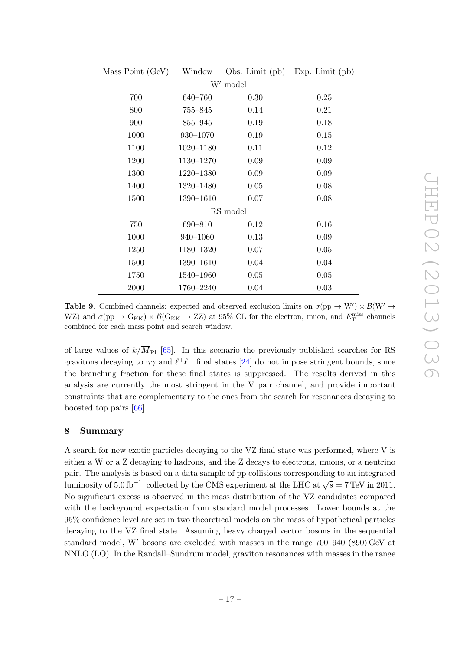| Mass Point (GeV)<br>Window |               | Obs. Limit $(\text{pb})$ | $Exp.$ Limit $(pb)$ |  |  |  |  |  |
|----------------------------|---------------|--------------------------|---------------------|--|--|--|--|--|
| W'<br>model                |               |                          |                     |  |  |  |  |  |
| 700                        | 640-760       | 0.30                     | 0.25                |  |  |  |  |  |
| 800                        | $755 - 845$   | 0.14                     | 0.21                |  |  |  |  |  |
| 900                        | 855-945       | 0.19                     | 0.18                |  |  |  |  |  |
| 1000                       | 930-1070      | 0.19                     | 0.15                |  |  |  |  |  |
| 1100                       | $1020 - 1180$ | 0.11                     | 0.12                |  |  |  |  |  |
| 1200                       | 1130-1270     | 0.09                     | 0.09                |  |  |  |  |  |
| 1300                       | 1220-1380     | 0.09                     | 0.09                |  |  |  |  |  |
| 1400                       | 1320-1480     | 0.05                     | 0.08                |  |  |  |  |  |
| 1500                       | 1390-1610     | 0.07                     | 0.08                |  |  |  |  |  |
|                            |               | RS model                 |                     |  |  |  |  |  |
| 750                        | 690-810       | 0.12                     | 0.16                |  |  |  |  |  |
| 1000                       | $940 - 1060$  | 0.13                     | 0.09                |  |  |  |  |  |
| 1250                       | 1180-1320     | 0.07                     | 0.05                |  |  |  |  |  |
| 1500                       | 1390-1610     | 0.04                     | 0.04                |  |  |  |  |  |
| 1750                       | 1540-1960     | $0.05\,$                 | 0.05                |  |  |  |  |  |
| 2000                       | 1760-2240     | 0.04                     | 0.03                |  |  |  |  |  |

<span id="page-17-1"></span>**Table 9.** Combined channels: expected and observed exclusion limits on  $\sigma(pp \to W') \times \mathcal{B}(W' \to$ WZ) and  $\sigma(pp \to G_{KK}) \times \mathcal{B}(G_{KK} \to ZZ)$  at 95% CL for the electron, muon, and  $E_T^{\text{miss}}$  channels combined for each mass point and search window.

of large values of  $k/\overline{M}_{\text{Pl}}$  [\[65\]](#page-23-14). In this scenario the previously-published searches for RS gravitons decaying to  $\gamma\gamma$  and  $\ell^+\ell^-$  final states [\[24\]](#page-21-14) do not impose stringent bounds, since the branching fraction for these final states is suppressed. The results derived in this analysis are currently the most stringent in the V pair channel, and provide important constraints that are complementary to the ones from the search for resonances decaying to boosted top pairs [\[66\]](#page-23-15).

## <span id="page-17-0"></span>8 Summary

A search for new exotic particles decaying to the VZ final state was performed, where V is either a W or a Z decaying to hadrons, and the Z decays to electrons, muons, or a neutrino pair. The analysis is based on a data sample of pp collisions corresponding to an integrated luminosity of  $5.0 \text{ fb}^{-1}$  collected by the CMS experiment at the LHC at  $\sqrt{s} = 7 \text{ TeV}$  in 2011. No significant excess is observed in the mass distribution of the VZ candidates compared with the background expectation from standard model processes. Lower bounds at the 95% confidence level are set in two theoretical models on the mass of hypothetical particles decaying to the VZ final state. Assuming heavy charged vector bosons in the sequential standard model, W' bosons are excluded with masses in the range  $700-940$  (890) GeV at NNLO (LO). In the Randall–Sundrum model, graviton resonances with masses in the range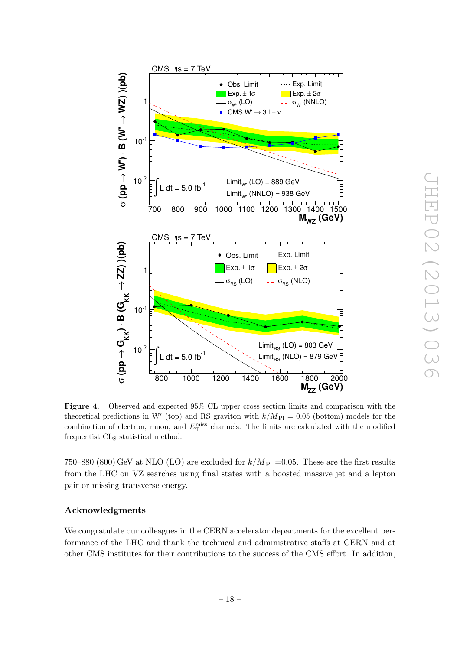

JHEP02(2013)036

THEP 02 (2013) 036



<span id="page-18-0"></span>Figure 4. Observed and expected 95% CL upper cross section limits and comparison with the theoretical predictions in W' (top) and RS graviton with  $k/\overline{M}_{\text{Pl}} = 0.05$  (bottom) models for the combination of electron, muon, and  $E_{\rm T}^{\rm miss}$  channels. The limits are calculated with the modified frequentist CL<sub>S</sub> statistical method.

750–880 (800) GeV at NLO (LO) are excluded for  $k/\overline{M}_{\text{Pl}} = 0.05$ . These are the first results from the LHC on VZ searches using final states with a boosted massive jet and a lepton pair or missing transverse energy.

## Acknowledgments

We congratulate our colleagues in the CERN accelerator departments for the excellent performance of the LHC and thank the technical and administrative staffs at CERN and at other CMS institutes for their contributions to the success of the CMS effort. In addition,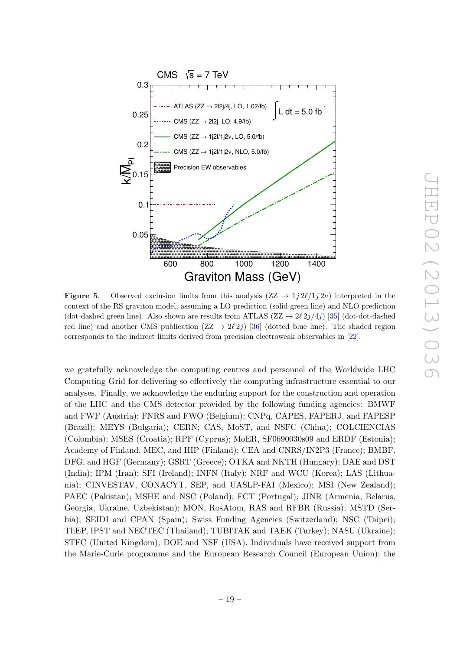

<span id="page-19-0"></span>**Figure 5.** Observed exclusion limits from this analysis  $(ZZ \rightarrow 1j 2\ell/1j 2\nu)$  interpreted in the context of the RS graviton model, assuming a LO prediction (solid green line) and NLO prediction (dot-dashed green line). Also shown are results from ATLAS ( $ZZ \rightarrow 2\ell \, 2j/4j$ ) [\[35\]](#page-22-1) (dot-dot-dashed red line) and another CMS publication  $(ZZ \rightarrow 2\ell 2j)$  [\[36\]](#page-22-2) (dotted blue line). The shaded region corresponds to the indirect limits derived from precision electroweak observables in [\[22\]](#page-21-15).

we gratefully acknowledge the computing centres and personnel of the Worldwide LHC Computing Grid for delivering so effectively the computing infrastructure essential to our analyses. Finally, we acknowledge the enduring support for the construction and operation of the LHC and the CMS detector provided by the following funding agencies: BMWF and FWF (Austria); FNRS and FWO (Belgium); CNPq, CAPES, FAPERJ, and FAPESP (Brazil); MEYS (Bulgaria); CERN; CAS, MoST, and NSFC (China); COLCIENCIAS (Colombia); MSES (Croatia); RPF (Cyprus); MoER, SF0690030s09 and ERDF (Estonia); Academy of Finland, MEC, and HIP (Finland); CEA and CNRS/IN2P3 (France); BMBF, DFG, and HGF (Germany); GSRT (Greece); OTKA and NKTH (Hungary); DAE and DST (India); IPM (Iran); SFI (Ireland); INFN (Italy); NRF and WCU (Korea); LAS (Lithuania); CINVESTAV, CONACYT, SEP, and UASLP-FAI (Mexico); MSI (New Zealand); PAEC (Pakistan); MSHE and NSC (Poland); FCT (Portugal); JINR (Armenia, Belarus, Georgia, Ukraine, Uzbekistan); MON, RosAtom, RAS and RFBR (Russia); MSTD (Serbia); SEIDI and CPAN (Spain); Swiss Funding Agencies (Switzerland); NSC (Taipei); ThEP, IPST and NECTEC (Thailand); TUBITAK and TAEK (Turkey); NASU (Ukraine); STFC (United Kingdom); DOE and NSF (USA). Individuals have received support from the Marie-Curie programme and the European Research Council (European Union); the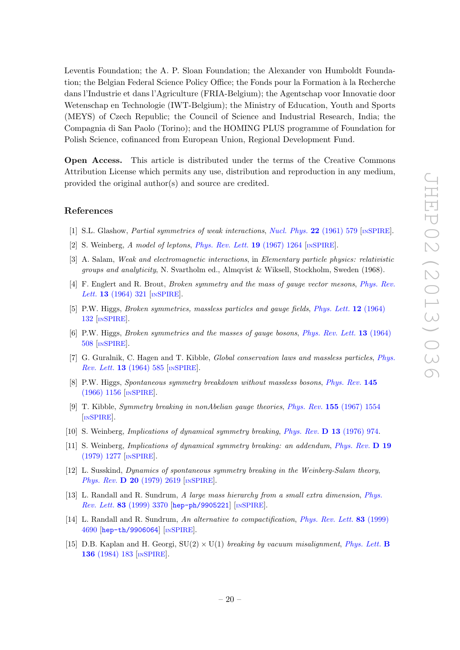Leventis Foundation; the A. P. Sloan Foundation; the Alexander von Humboldt Foundation; the Belgian Federal Science Policy Office; the Fonds pour la Formation à la Recherche dans l'Industrie et dans l'Agriculture (FRIA-Belgium); the Agentschap voor Innovatie door Wetenschap en Technologie (IWT-Belgium); the Ministry of Education, Youth and Sports (MEYS) of Czech Republic; the Council of Science and Industrial Research, India; the Compagnia di San Paolo (Torino); and the HOMING PLUS programme of Foundation for Polish Science, cofinanced from European Union, Regional Development Fund.

Open Access. This article is distributed under the terms of the Creative Commons Attribution License which permits any use, distribution and reproduction in any medium, provided the original author(s) and source are credited.

#### References

- <span id="page-20-0"></span>[1] S.L. Glashow, Partial symmetries of weak interactions, [Nucl. Phys.](http://dx.doi.org/10.1016/0029-5582(61)90469-2) 22 (1961) 579 [IN[SPIRE](http://inspirehep.net/search?p=find+J+NUPHA,22,579)].
- [2] S. Weinberg, A model of leptons, [Phys. Rev. Lett.](http://dx.doi.org/10.1103/PhysRevLett.19.1264) 19 (1967) 1264  $\text{[INSPIRE]}$  $\text{[INSPIRE]}$  $\text{[INSPIRE]}$ .
- <span id="page-20-1"></span>[3] A. Salam, Weak and electromagnetic interactions, in Elementary particle physics: relativistic groups and analyticity, N. Svartholm ed., Almqvist & Wiksell, Stockholm, Sweden (1968).
- <span id="page-20-2"></span>[4] F. Englert and R. Brout, Broken symmetry and the mass of gauge vector mesons, [Phys. Rev.](http://dx.doi.org/10.1103/PhysRevLett.13.321) Lett. **13** [\(1964\) 321](http://dx.doi.org/10.1103/PhysRevLett.13.321) [IN[SPIRE](http://inspirehep.net/search?p=find+J+Phys.Rev.Lett.,13,321)].
- [5] P.W. Higgs, Broken symmetries, massless particles and gauge fields, [Phys. Lett.](http://dx.doi.org/10.1016/0031-9163(64)91136-9) 12 (1964) [132](http://dx.doi.org/10.1016/0031-9163(64)91136-9) [IN[SPIRE](http://inspirehep.net/search?p=find+J+Phys.Lett.,12,132)].
- [6] P.W. Higgs, Broken symmetries and the masses of gauge bosons, [Phys. Rev. Lett.](http://dx.doi.org/10.1103/PhysRevLett.13.508) 13 (1964) [508](http://dx.doi.org/10.1103/PhysRevLett.13.508) [IN[SPIRE](http://inspirehep.net/search?p=find+J+Phys.Rev.Lett.,13,508)].
- [7] G. Guralnik, C. Hagen and T. Kibble, *Global conservation laws and massless particles*, *[Phys.](http://dx.doi.org/10.1103/PhysRevLett.13.585)* Rev. Lett. 13 [\(1964\) 585](http://dx.doi.org/10.1103/PhysRevLett.13.585) [IN[SPIRE](http://inspirehep.net/search?p=find+J+Phys.Rev.Lett.,13,585)].
- [8] P.W. Higgs, Spontaneous symmetry breakdown without massless bosons, [Phys. Rev.](http://dx.doi.org/10.1103/PhysRev.145.1156) 145 [\(1966\) 1156](http://dx.doi.org/10.1103/PhysRev.145.1156) [IN[SPIRE](http://inspirehep.net/search?p=find+J+Phys.Rev.,145,1156)].
- <span id="page-20-3"></span>[9] T. Kibble, Symmetry breaking in nonAbelian gauge theories, Phys. Rev. 155 [\(1967\) 1554](http://dx.doi.org/10.1103/PhysRev.155.1554) [IN[SPIRE](http://inspirehep.net/search?p=find+J+Phys.Rev.,155,1554)].
- <span id="page-20-4"></span>[10] S. Weinberg, Implications of dynamical symmetry breaking, Phys. Rev. D 13 [\(1976\) 974.](http://dx.doi.org/10.1103/PhysRevD.13.974)
- [11] S. Weinberg, Implications of dynamical symmetry breaking: an addendum, [Phys. Rev.](http://dx.doi.org/10.1103/PhysRevD.19.1277) D 19 [\(1979\) 1277](http://dx.doi.org/10.1103/PhysRevD.19.1277) [IN[SPIRE](http://inspirehep.net/search?p=find+J+Phys.Rev.,D19,1277)].
- <span id="page-20-5"></span>[12] L. Susskind, Dynamics of spontaneous symmetry breaking in the Weinberg-Salam theory, Phys. Rev. **D 20** [\(1979\) 2619](http://dx.doi.org/10.1103/PhysRevD.20.2619) [IN[SPIRE](http://inspirehep.net/search?p=find+J+Phys.Rev.,D20,2619)].
- <span id="page-20-6"></span>[13] L. Randall and R. Sundrum, A large mass hierarchy from a small extra dimension, [Phys.](http://dx.doi.org/10.1103/PhysRevLett.83.3370) Rev. Lett. 83 [\(1999\) 3370](http://dx.doi.org/10.1103/PhysRevLett.83.3370) [[hep-ph/9905221](http://arxiv.org/abs/hep-ph/9905221)] [IN[SPIRE](http://inspirehep.net/search?p=find+EPRINT+hep-ph/9905221)].
- <span id="page-20-7"></span>[14] L. Randall and R. Sundrum, An alternative to compactification, [Phys. Rev. Lett.](http://dx.doi.org/10.1103/PhysRevLett.83.4690) 83 (1999) [4690](http://dx.doi.org/10.1103/PhysRevLett.83.4690) [[hep-th/9906064](http://arxiv.org/abs/hep-th/9906064)] [IN[SPIRE](http://inspirehep.net/search?p=find+EPRINT+hep-th/9906064)].
- <span id="page-20-8"></span>[15] D.B. Kaplan and H. Georgi,  $SU(2) \times U(1)$  breaking by vacuum misalignment, [Phys. Lett.](http://dx.doi.org/10.1016/0370-2693(84)91177-8) B 136 [\(1984\) 183](http://dx.doi.org/10.1016/0370-2693(84)91177-8) [IN[SPIRE](http://inspirehep.net/search?p=find+J+Phys.Lett.,B136,183)].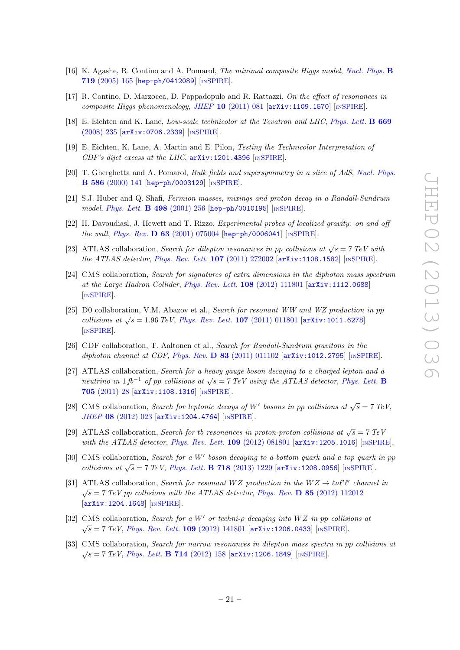- <span id="page-21-0"></span>[16] K. Agashe, R. Contino and A. Pomarol, The minimal composite Higgs model, [Nucl. Phys.](http://dx.doi.org/10.1016/j.nuclphysb.2005.04.035) B 719 [\(2005\) 165](http://dx.doi.org/10.1016/j.nuclphysb.2005.04.035) [[hep-ph/0412089](http://arxiv.org/abs/hep-ph/0412089)] [IN[SPIRE](http://inspirehep.net/search?p=find+EPRINT+hep-ph/0412089)].
- <span id="page-21-1"></span>[17] R. Contino, D. Marzocca, D. Pappadopulo and R. Rattazzi, On the effect of resonances in composite Higgs phenomenology, JHEP 10  $(2011)$  081 [[arXiv:1109.1570](http://arxiv.org/abs/1109.1570)] [IN[SPIRE](http://inspirehep.net/search?p=find+EPRINT+arXiv:1109.1570)].
- <span id="page-21-2"></span>[18] E. Eichten and K. Lane, Low-scale technicolor at the Tevatron and LHC, [Phys. Lett.](http://dx.doi.org/10.1016/j.physletb.2008.09.047) **B 669** [\(2008\) 235](http://dx.doi.org/10.1016/j.physletb.2008.09.047) [[arXiv:0706.2339](http://arxiv.org/abs/0706.2339)] [IN[SPIRE](http://inspirehep.net/search?p=find+EPRINT+arXiv:0706.2339)].
- <span id="page-21-3"></span>[19] E. Eichten, K. Lane, A. Martin and E. Pilon, Testing the Technicolor Interpretation of CDF's dijet excess at the LHC,  $arXiv:1201.4396$  [IN[SPIRE](http://inspirehep.net/search?p=find+EPRINT+arXiv:1201.4396)].
- <span id="page-21-4"></span>[20] T. Gherghetta and A. Pomarol, Bulk fields and supersymmetry in a slice of AdS, [Nucl. Phys.](http://dx.doi.org/10.1016/S0550-3213(00)00392-8) B 586 [\(2000\) 141](http://dx.doi.org/10.1016/S0550-3213(00)00392-8) [[hep-ph/0003129](http://arxiv.org/abs/hep-ph/0003129)] [IN[SPIRE](http://inspirehep.net/search?p=find+EPRINT+hep-ph/0003129)].
- [21] S.J. Huber and Q. Shafi, Fermion masses, mixings and proton decay in a Randall-Sundrum model, *[Phys. Lett.](http://dx.doi.org/10.1016/S0370-2693(00)01399-X)* **B 498** (2001) 256 [[hep-ph/0010195](http://arxiv.org/abs/hep-ph/0010195)] [IN[SPIRE](http://inspirehep.net/search?p=find+EPRINT+hep-ph/0010195)].
- <span id="page-21-15"></span>[22] H. Davoudiasl, J. Hewett and T. Rizzo, Experimental probes of localized gravity: on and off the wall, Phys. Rev. D 63 [\(2001\) 075004](http://dx.doi.org/10.1103/PhysRevD.63.075004) [[hep-ph/0006041](http://arxiv.org/abs/hep-ph/0006041)] [IN[SPIRE](http://inspirehep.net/search?p=find+EPRINT+hep-ph/0006041)].
- <span id="page-21-12"></span>[23] ATLAS collaboration, Search for dilepton resonances in pp collisions at  $\sqrt{s} = 7 \text{ TeV}$  with the ATLAS detector, [Phys. Rev. Lett.](http://dx.doi.org/10.1103/PhysRevLett.107.272002) 107 (2011) 272002 [[arXiv:1108.1582](http://arxiv.org/abs/1108.1582)] [IN[SPIRE](http://inspirehep.net/search?p=find+EPRINT+arXiv:1108.1582)].
- <span id="page-21-14"></span>[24] CMS collaboration, Search for signatures of extra dimensions in the diphoton mass spectrum at the Large Hadron Collider, [Phys. Rev. Lett.](http://dx.doi.org/10.1103/PhysRevLett.108.111801) 108 (2012) 111801 [[arXiv:1112.0688](http://arxiv.org/abs/1112.0688)] [IN[SPIRE](http://inspirehep.net/search?p=find+EPRINT+arXiv:1112.0688)].
- [25] D0 collaboration, V.M. Abazov et al., Search for resonant WW and WZ production in  $p\bar{p}$  $\alpha$  collisions at  $\sqrt{s} = 1.96$  TeV, [Phys. Rev. Lett.](http://dx.doi.org/10.1103/PhysRevLett.107.011801) 107 (2011) 011801 [[arXiv:1011.6278](http://arxiv.org/abs/1011.6278)] [IN[SPIRE](http://inspirehep.net/search?p=find+EPRINT+arXiv:1011.6278)].
- <span id="page-21-5"></span>[26] CDF collaboration, T. Aaltonen et al., Search for Randall-Sundrum gravitons in the diphoton channel at CDF, Phys. Rev. D 83 [\(2011\) 011102](http://dx.doi.org/10.1103/PhysRevD.83.011102)  $\left[$ [arXiv:1012.2795](http://arxiv.org/abs/1012.2795) $\right]$  [IN[SPIRE](http://inspirehep.net/search?p=find+EPRINT+arXiv:1012.2795)].
- <span id="page-21-6"></span>[27] ATLAS collaboration, Search for a heavy gauge boson decaying to a charged lepton and a neutrino in  $1 fb^{-1}$  of pp collisions at  $\sqrt{s} = 7 \text{ TeV}$  using the ATLAS detector, [Phys. Lett.](http://dx.doi.org/10.1016/j.physletb.2011.09.093) B 705 [\(2011\) 28](http://dx.doi.org/10.1016/j.physletb.2011.09.093) [[arXiv:1108.1316](http://arxiv.org/abs/1108.1316)] [IN[SPIRE](http://inspirehep.net/search?p=find+EPRINT+arXiv:1108.1316)].
- <span id="page-21-7"></span>[28] CMS collaboration, Search for leptonic decays of W' bosons in pp collisions at  $\sqrt{s} = 7 \text{ TeV}$ , JHEP 08 [\(2012\) 023](http://dx.doi.org/10.1007/JHEP08(2012)023) [[arXiv:1204.4764](http://arxiv.org/abs/1204.4764)] [IN[SPIRE](http://inspirehep.net/search?p=find+EPRINT+arXiv:1204.4764)].
- <span id="page-21-8"></span>[29] ATLAS collaboration, Search for the resonances in proton-proton collisions at  $\sqrt{s} = 7 \text{ TeV}$ with the ATLAS detector, [Phys. Rev. Lett.](http://dx.doi.org/10.1103/PhysRevLett.109.081801)  $109$  (2012) 081801 [[arXiv:1205.1016](http://arxiv.org/abs/1205.1016)] [IN[SPIRE](http://inspirehep.net/search?p=find+EPRINT+arXiv:1205.1016)].
- <span id="page-21-9"></span>[30] CMS collaboration, Search for a W' boson decaying to a bottom quark and a top quark in pp collisions at  $\sqrt{s} = 7$  TeV, Phys. Lett. **B** 718 [\(2013\) 1229](http://dx.doi.org/10.1016/j.physletb.2012.12.008) [[arXiv:1208.0956](http://arxiv.org/abs/1208.0956)] [IN[SPIRE](http://inspirehep.net/search?p=find+EPRINT+arXiv:1208.0956)].
- <span id="page-21-10"></span>[31] ATLAS collaboration, Search for resonant WZ production in the  $WZ \to \ell \nu \ell' \ell'$  channel in  $\sqrt{s}$  = 7 TeV pp collisions with the ATLAS detector, Phys. Rev. **D** 85 [\(2012\) 112012](http://dx.doi.org/10.1103/PhysRevD.85.112012) [[arXiv:1204.1648](http://arxiv.org/abs/1204.1648)] [IN[SPIRE](http://inspirehep.net/search?p=find+EPRINT+arXiv:1204.1648)].
- <span id="page-21-11"></span>[32] CMS collaboration, Search for a W' or techni-ρ decaying into WZ in pp collisions at  $\sqrt{s}$  = 7 TeV, [Phys. Rev. Lett.](http://dx.doi.org/10.1103/PhysRevLett.109.141801) 109 (2012) 141801 [[arXiv:1206.0433](http://arxiv.org/abs/1206.0433)] [IN[SPIRE](http://inspirehep.net/search?p=find+EPRINT+arXiv:1206.0433)].
- <span id="page-21-13"></span>[33] CMS collaboration, *Search for narrow resonances in dilepton mass spectra in pp collisions at*  $\sqrt{s}$  = 7 TeV, [Phys. Lett.](http://dx.doi.org/10.1016/j.physletb.2012.06.051) **B** 714 (2012) 158 [[arXiv:1206.1849](http://arxiv.org/abs/1206.1849)] [IN[SPIRE](http://inspirehep.net/search?p=find+EPRINT+arXiv:1206.1849)].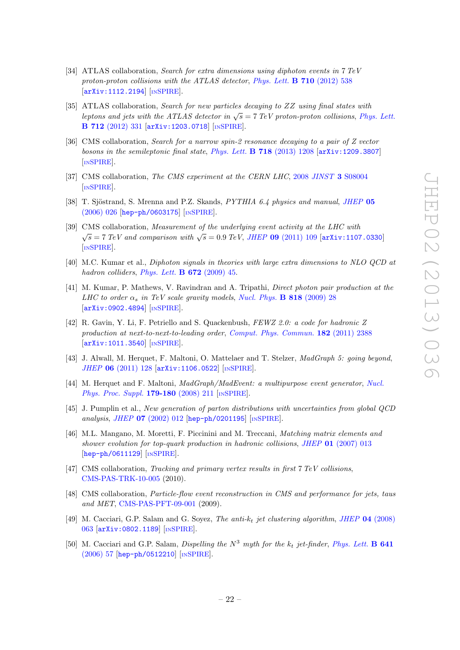- <span id="page-22-0"></span>[34] ATLAS collaboration, Search for extra dimensions using diphoton events in 7 TeV proton-proton collisions with the ATLAS detector, [Phys. Lett.](http://dx.doi.org/10.1016/j.physletb.2012.03.022) B 710 (2012) 538 [[arXiv:1112.2194](http://arxiv.org/abs/1112.2194)] [IN[SPIRE](http://inspirehep.net/search?p=find+EPRINT+arXiv:1112.2194)].
- <span id="page-22-1"></span>[35] ATLAS collaboration, Search for new particles decaying to ZZ using final states with leptons and jets with the ATLAS detector in  $\sqrt{s} = 7$  TeV proton-proton collisions, [Phys. Lett.](http://dx.doi.org/10.1016/j.physletb.2012.05.020) B 712 [\(2012\) 331](http://dx.doi.org/10.1016/j.physletb.2012.05.020) [[arXiv:1203.0718](http://arxiv.org/abs/1203.0718)] [IN[SPIRE](http://inspirehep.net/search?p=find+EPRINT+arXiv:1203.0718)].
- <span id="page-22-2"></span>[36] CMS collaboration, Search for a narrow spin-2 resonance decaying to a pair of Z vector bosons in the semileptonic final state, Phys. Lett. **B** 718 [\(2013\) 1208](http://dx.doi.org/10.1016/j.physletb.2012.11.063)  $\left[$ [arXiv:1209.3807](http://arxiv.org/abs/1209.3807) [IN[SPIRE](http://inspirehep.net/search?p=find+EPRINT+arXiv:1209.3807)].
- <span id="page-22-3"></span>[37] CMS collaboration, The CMS experiment at the CERN LHC, 2008 JINST 3 [S08004](http://dx.doi.org/10.1088/1748-0221/3/08/S08004) [IN[SPIRE](http://inspirehep.net/search?p=find+J+JINST,3,S08004)].
- <span id="page-22-4"></span>[38] T. Sjöstrand, S. Mrenna and P.Z. Skands, *PYTHIA 6.4 physics and manual, [JHEP](http://dx.doi.org/10.1088/1126-6708/2006/05/026)* 05 [\(2006\) 026](http://dx.doi.org/10.1088/1126-6708/2006/05/026) [[hep-ph/0603175](http://arxiv.org/abs/hep-ph/0603175)] [IN[SPIRE](http://inspirehep.net/search?p=find+EPRINT+hep-ph/0603175)].
- <span id="page-22-5"></span>[39] CMS collaboration, Measurement of the underlying event activity at the LHC with  $\sqrt{s} = 7 \text{ TeV}$  and comparison with  $\sqrt{s} = 0.9 \text{ TeV}$ , JHEP 09 [\(2011\) 109](http://dx.doi.org/10.1007/JHEP09(2011)109) [[arXiv:1107.0330](http://arxiv.org/abs/1107.0330)] [IN[SPIRE](http://inspirehep.net/search?p=find+EPRINT+arXiv:1107.0330)].
- <span id="page-22-6"></span>[40] M.C. Kumar et al., Diphoton signals in theories with large extra dimensions to NLO QCD at hadron colliders, [Phys. Lett.](http://dx.doi.org/10.1016/j.physletb.2009.01.002)  $\bf{B}$  672 (2009) 45.
- <span id="page-22-7"></span>[41] M. Kumar, P. Mathews, V. Ravindran and A. Tripathi, Direct photon pair production at the LHC to order  $\alpha_s$  in TeV scale gravity models, [Nucl. Phys.](http://dx.doi.org/10.1016/j.nuclphysb.2009.03.022) **B** 818 (2009) 28 [[arXiv:0902.4894](http://arxiv.org/abs/0902.4894)] [IN[SPIRE](http://inspirehep.net/search?p=find+J+Nucl.Phys.,B818,28)].
- <span id="page-22-8"></span>[42] R. Gavin, Y. Li, F. Petriello and S. Quackenbush, FEWZ 2.0: a code for hadronic Z production at next-to-next-to-leading order, [Comput. Phys. Commun.](http://dx.doi.org/10.1016/j.cpc.2011.06.008) 182 (2011) 2388 [[arXiv:1011.3540](http://arxiv.org/abs/1011.3540)] [IN[SPIRE](http://inspirehep.net/search?p=find+EPRINT+arXiv:1011.3540)].
- <span id="page-22-9"></span>[43] J. Alwall, M. Herquet, F. Maltoni, O. Mattelaer and T. Stelzer, *MadGraph 5: going beyond*, JHEP 06 [\(2011\) 128](http://dx.doi.org/10.1007/JHEP06(2011)128) [[arXiv:1106.0522](http://arxiv.org/abs/1106.0522)] [IN[SPIRE](http://inspirehep.net/search?p=find+EPRINT+arXiv:1106.0522)].
- <span id="page-22-10"></span>[44] M. Herquet and F. Maltoni, MadGraph/MadEvent: a multipurpose event generator, [Nucl.](http://dx.doi.org/10.1016/j.nuclphysBPS.2008.07.026) [Phys. Proc. Suppl.](http://dx.doi.org/10.1016/j.nuclphysBPS.2008.07.026) **179-180** (2008) 211 [IN[SPIRE](http://inspirehep.net/search?p=find+J+NUPHZ,179-180,211)].
- <span id="page-22-11"></span>[45] J. Pumplin et al., New generation of parton distributions with uncertainties from global QCD analysis, JHEP 07 [\(2002\) 012](http://dx.doi.org/10.1088/1126-6708/2002/07/012) [[hep-ph/0201195](http://arxiv.org/abs/hep-ph/0201195)] [IN[SPIRE](http://inspirehep.net/search?p=find+J+JHEP,0207,012)].
- <span id="page-22-12"></span>[46] M.L. Mangano, M. Moretti, F. Piccinini and M. Treccani, Matching matrix elements and shower evolution for top-quark production in hadronic collisions, JHEP 01 [\(2007\) 013](http://dx.doi.org/10.1088/1126-6708/2007/01/013) [[hep-ph/0611129](http://arxiv.org/abs/hep-ph/0611129)] [IN[SPIRE](http://inspirehep.net/search?p=find+EPRINT+hep-ph/0611129)].
- <span id="page-22-13"></span>[47] CMS collaboration, *Tracking and primary vertex results in first* 7 TeV collisions, [CMS-PAS-TRK-10-005](http://cds.cern.ch/record/1279383) (2010).
- <span id="page-22-14"></span>[48] CMS collaboration, Particle-flow event reconstruction in CMS and performance for jets, taus and MET, [CMS-PAS-PFT-09-001](http://cds.cern.ch/record/1194487) (2009).
- <span id="page-22-15"></span>[49] M. Cacciari, G.P. Salam and G. Soyez, The anti- $k_t$  jet clustering algorithm, JHEP 04 [\(2008\)](http://dx.doi.org/10.1088/1126-6708/2008/04/063) [063](http://dx.doi.org/10.1088/1126-6708/2008/04/063) [[arXiv:0802.1189](http://arxiv.org/abs/0802.1189)] [IN[SPIRE](http://inspirehep.net/search?p=find+EPRINT+arXiv:0802.1189)].
- <span id="page-22-16"></span>[50] M. Cacciari and G.P. Salam, *Dispelling the*  $N^3$  myth for the  $k_t$  jet-finder, *[Phys. Lett.](http://dx.doi.org/10.1016/j.physletb.2006.08.037)* **B 641** [\(2006\) 57](http://dx.doi.org/10.1016/j.physletb.2006.08.037) [[hep-ph/0512210](http://arxiv.org/abs/hep-ph/0512210)] [IN[SPIRE](http://inspirehep.net/search?p=find+EPRINT+hep-ph/0512210)].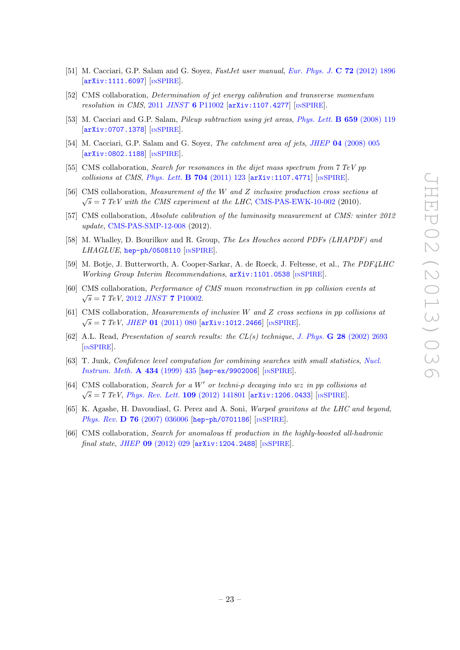- <span id="page-23-0"></span>[51] M. Cacciari, G.P. Salam and G. Soyez, FastJet user manual, [Eur. Phys. J.](http://dx.doi.org/10.1140/epjc/s10052-012-1896-2) C 72 (2012) 1896 [[arXiv:1111.6097](http://arxiv.org/abs/1111.6097)] [IN[SPIRE](http://inspirehep.net/search?p=find+EPRINT+arXiv:1111.6097)].
- <span id="page-23-1"></span>[52] CMS collaboration, Determination of jet energy calibration and transverse momentum resolution in CMS, 2011 JINST 6 [P11002](http://dx.doi.org/10.1088/1748-0221/6/11/P11002) [[arXiv:1107.4277](http://arxiv.org/abs/1107.4277)] [IN[SPIRE](http://inspirehep.net/search?p=find+EPRINT+arXiv:1107.4277)].
- <span id="page-23-2"></span>[53] M. Cacciari and G.P. Salam, Pileup subtraction using jet areas, [Phys. Lett.](http://dx.doi.org/10.1016/j.physletb.2007.09.077) B 659 (2008) 119 [[arXiv:0707.1378](http://arxiv.org/abs/0707.1378)] [IN[SPIRE](http://inspirehep.net/search?p=find+EPRINT+arXiv:0707.1378)].
- <span id="page-23-3"></span>[54] M. Cacciari, G.P. Salam and G. Soyez, *The catchment area of jets*, *JHEP* 04 [\(2008\) 005](http://dx.doi.org/10.1088/1126-6708/2008/04/005) [[arXiv:0802.1188](http://arxiv.org/abs/0802.1188)] [IN[SPIRE](http://inspirehep.net/search?p=find+EPRINT+arXiv:0802.1188)].
- <span id="page-23-4"></span>[55] CMS collaboration, Search for resonances in the dijet mass spectrum from 7 TeV pp  $collisions$  at CMS, [Phys. Lett.](http://dx.doi.org/10.1016/j.physletb.2011.09.015) **B 704** (2011) 123  $\left[$ [arXiv:1107.4771](http://arxiv.org/abs/1107.4771) $\right]$   $\left[$ In[SPIRE](http://inspirehep.net/search?p=find+EPRINT+arXiv:1107.4771) $\right]$ .
- <span id="page-23-5"></span>[56] CMS collaboration, Measurement of the W and Z inclusive production cross sections at  $\sqrt{s}$  = 7 TeV with the CMS experiment at the LHC, [CMS-PAS-EWK-10-002](http://cds.cern.ch/record/1279615) (2010).
- <span id="page-23-6"></span>[57] CMS collaboration, Absolute calibration of the luminosity measurement at CMS: winter 2012 update, [CMS-PAS-SMP-12-008](http://cds.cern.ch/record/1434360) (2012).
- <span id="page-23-7"></span>[58] M. Whalley, D. Bourilkov and R. Group, The Les Houches accord PDFs (LHAPDF) and  $LHAGLUE$ , [hep-ph/0508110](http://arxiv.org/abs/hep-ph/0508110) [IN[SPIRE](http://inspirehep.net/search?p=find+EPRINT+hep-ph/0508110)].
- <span id="page-23-8"></span>[59] M. Botje, J. Butterworth, A. Cooper-Sarkar, A. de Roeck, J. Feltesse, et al., The PDF4LHC Working Group Interim Recommendations,  $arXiv:1101.0538$  [IN[SPIRE](http://inspirehep.net/search?p=find+EPRINT+arXiv:1101.0538)].
- <span id="page-23-9"></span>[60] CMS collaboration, Performance of CMS muon reconstruction in pp collision events at  $\sqrt{s}$  = 7 TeV, 2012 JINST 7 [P10002.](http://dx.doi.org/10.1088/1748-0221/7/10/P10002)
- <span id="page-23-10"></span>[61] CMS collaboration, Measurements of inclusive W and Z cross sections in pp collisions at √  $\sqrt{s}$  = 7 TeV, JHEP 01 [\(2011\) 080](http://dx.doi.org/10.1007/JHEP01(2011)080) [[arXiv:1012.2466](http://arxiv.org/abs/1012.2466)] [IN[SPIRE](http://inspirehep.net/search?p=find+EPRINT+arXiv:1012.2466)].
- <span id="page-23-11"></span>[62] A.L. Read, Presentation of search results: the CL(s) technique, J. Phys. **G 28** [\(2002\) 2693](http://dx.doi.org/10.1088/0954-3899/28/10/313) [IN[SPIRE](http://inspirehep.net/search?p=find+J+J.Phys.,G28,2693)].
- <span id="page-23-12"></span>[63] T. Junk, Confidence level computation for combining searches with small statistics, [Nucl.](http://dx.doi.org/10.1016/S0168-9002(99)00498-2) [Instrum. Meth.](http://dx.doi.org/10.1016/S0168-9002(99)00498-2) A 434 (1999) 435 [[hep-ex/9902006](http://arxiv.org/abs/hep-ex/9902006)] [IN[SPIRE](http://inspirehep.net/search?p=find+EPRINT+hep-ex/9902006)].
- <span id="page-23-13"></span>[64] CMS collaboration, Search for a W' or techni-ρ decaying into wz in pp collisions at  $\sqrt{s}$  = 7 TeV, [Phys. Rev. Lett.](http://dx.doi.org/10.1103/PhysRevLett.109.141801) 109 (2012) 141801 [[arXiv:1206.0433](http://arxiv.org/abs/1206.0433)] [IN[SPIRE](http://inspirehep.net/search?p=find+J+Phys.Rev.Lett.,109,141801)].
- <span id="page-23-14"></span>[65] K. Agashe, H. Davoudiasl, G. Perez and A. Soni, Warped gravitons at the LHC and beyond, Phys. Rev. **D 76** [\(2007\) 036006](http://dx.doi.org/10.1103/PhysRevD.76.036006) [[hep-ph/0701186](http://arxiv.org/abs/hep-ph/0701186)] [IN[SPIRE](http://inspirehep.net/search?p=find+EPRINT+hep-ph/0701186)].
- <span id="page-23-15"></span>[66] CMS collaboration, Search for anomalous  $t\bar{t}$  production in the highly-boosted all-hadronic final state, JHEP 09 [\(2012\) 029](http://dx.doi.org/10.1007/JHEP09(2012)029) [[arXiv:1204.2488](http://arxiv.org/abs/1204.2488)] [IN[SPIRE](http://inspirehep.net/search?p=find+EPRINT+arXiv:1204.2488)].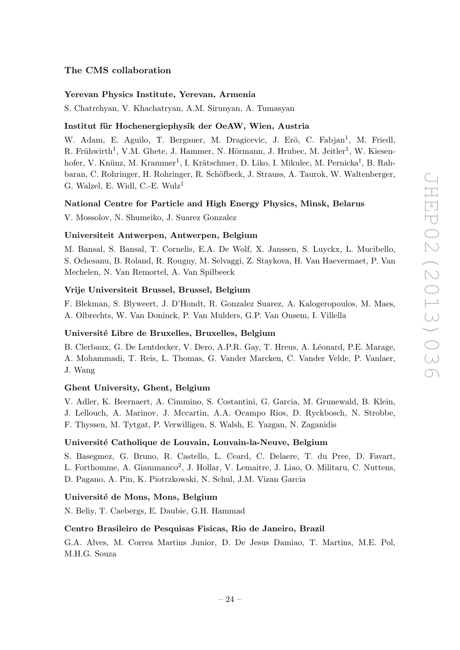### The CMS collaboration

#### <span id="page-24-0"></span>Yerevan Physics Institute, Yerevan, Armenia

S. Chatrchyan, V. Khachatryan, A.M. Sirunyan, A. Tumasyan

## Institut für Hochenergiephysik der OeAW, Wien, Austria

W. Adam, E. Aguilo, T. Bergauer, M. Dragicevic, J. Erö, C. Fabjan<sup>1</sup>, M. Friedl, R. Frühwirth<sup>1</sup>, V.M. Ghete, J. Hammer, N. Hörmann, J. Hrubec, M. Jeitler<sup>1</sup>, W. Kiesenhofer, V. Knünz, M. Krammer<sup>1</sup>, I. Krätschmer, D. Liko, I. Mikulec, M. Pernicka<sup>†</sup>, B. Rahbaran, C. Rohringer, H. Rohringer, R. Schöfbeck, J. Strauss, A. Taurok, W. Waltenberger, G. Walzel, E. Widl, C.-E. Wulz<sup>1</sup>

#### National Centre for Particle and High Energy Physics, Minsk, Belarus

V. Mossolov, N. Shumeiko, J. Suarez Gonzalez

#### Universiteit Antwerpen, Antwerpen, Belgium

M. Bansal, S. Bansal, T. Cornelis, E.A. De Wolf, X. Janssen, S. Luyckx, L. Mucibello, S. Ochesanu, B. Roland, R. Rougny, M. Selvaggi, Z. Staykova, H. Van Haevermaet, P. Van Mechelen, N. Van Remortel, A. Van Spilbeeck

### Vrije Universiteit Brussel, Brussel, Belgium

F. Blekman, S. Blyweert, J. D'Hondt, R. Gonzalez Suarez, A. Kalogeropoulos, M. Maes, A. Olbrechts, W. Van Doninck, P. Van Mulders, G.P. Van Onsem, I. Villella

#### Université Libre de Bruxelles, Bruxelles, Belgium

B. Clerbaux, G. De Lentdecker, V. Dero, A.P.R. Gay, T. Hreus, A. Léonard, P.E. Marage, A. Mohammadi, T. Reis, L. Thomas, G. Vander Marcken, C. Vander Velde, P. Vanlaer, J. Wang

## Ghent University, Ghent, Belgium

V. Adler, K. Beernaert, A. Cimmino, S. Costantini, G. Garcia, M. Grunewald, B. Klein, J. Lellouch, A. Marinov, J. Mccartin, A.A. Ocampo Rios, D. Ryckbosch, N. Strobbe, F. Thyssen, M. Tytgat, P. Verwilligen, S. Walsh, E. Yazgan, N. Zaganidis

#### Universit´e Catholique de Louvain, Louvain-la-Neuve, Belgium

S. Basegmez, G. Bruno, R. Castello, L. Ceard, C. Delaere, T. du Pree, D. Favart, L. Forthomme, A. Giammanco<sup>2</sup>, J. Hollar, V. Lemaitre, J. Liao, O. Militaru, C. Nuttens, D. Pagano, A. Pin, K. Piotrzkowski, N. Schul, J.M. Vizan Garcia

#### Université de Mons, Mons, Belgium

N. Beliy, T. Caebergs, E. Daubie, G.H. Hammad

## Centro Brasileiro de Pesquisas Fisicas, Rio de Janeiro, Brazil

G.A. Alves, M. Correa Martins Junior, D. De Jesus Damiao, T. Martins, M.E. Pol, M.H.G. Souza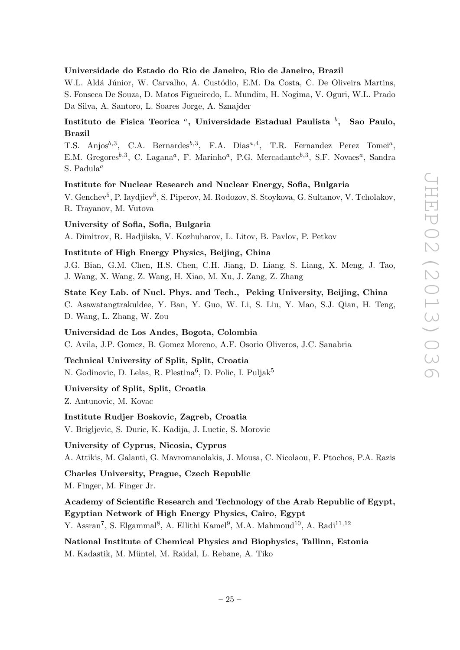## Universidade do Estado do Rio de Janeiro, Rio de Janeiro, Brazil

W.L. Aldá Júnior, W. Carvalho, A. Custódio, E.M. Da Costa, C. De Oliveira Martins, S. Fonseca De Souza, D. Matos Figueiredo, L. Mundim, H. Nogima, V. Oguri, W.L. Prado Da Silva, A. Santoro, L. Soares Jorge, A. Sznajder

## Instituto de Fisica Teorica <sup>a</sup>, Universidade Estadual Paulista <sup>b</sup>, Sao Paulo, Brazil

T.S. Anjos<sup>b,3</sup>, C.A. Bernardes<sup>b,3</sup>, F.A. Dias<sup>a,4</sup>, T.R. Fernandez Perez Tomei<sup>a</sup>, E.M. Gregores<sup>b,3</sup>, C. Lagana<sup>a</sup>, F. Marinho<sup>a</sup>, P.G. Mercadante<sup>b,3</sup>, S.F. Novaes<sup>a</sup>, Sandra S. Padula $^a$ 

## Institute for Nuclear Research and Nuclear Energy, Sofia, Bulgaria

V. Genchev<sup>5</sup>, P. Iaydjiev<sup>5</sup>, S. Piperov, M. Rodozov, S. Stoykova, G. Sultanov, V. Tcholakov, R. Trayanov, M. Vutova

#### University of Sofia, Sofia, Bulgaria

A. Dimitrov, R. Hadjiiska, V. Kozhuharov, L. Litov, B. Pavlov, P. Petkov

### Institute of High Energy Physics, Beijing, China

J.G. Bian, G.M. Chen, H.S. Chen, C.H. Jiang, D. Liang, S. Liang, X. Meng, J. Tao, J. Wang, X. Wang, Z. Wang, H. Xiao, M. Xu, J. Zang, Z. Zhang

## State Key Lab. of Nucl. Phys. and Tech., Peking University, Beijing, China

C. Asawatangtrakuldee, Y. Ban, Y. Guo, W. Li, S. Liu, Y. Mao, S.J. Qian, H. Teng, D. Wang, L. Zhang, W. Zou

## Universidad de Los Andes, Bogota, Colombia

C. Avila, J.P. Gomez, B. Gomez Moreno, A.F. Osorio Oliveros, J.C. Sanabria

## Technical University of Split, Split, Croatia

N. Godinovic, D. Lelas, R. Plestina<sup>6</sup>, D. Polic, I. Puljak<sup>5</sup>

#### University of Split, Split, Croatia

Z. Antunovic, M. Kovac

### Institute Rudjer Boskovic, Zagreb, Croatia

V. Brigljevic, S. Duric, K. Kadija, J. Luetic, S. Morovic

#### University of Cyprus, Nicosia, Cyprus

A. Attikis, M. Galanti, G. Mavromanolakis, J. Mousa, C. Nicolaou, F. Ptochos, P.A. Razis

#### Charles University, Prague, Czech Republic

M. Finger, M. Finger Jr.

## Academy of Scientific Research and Technology of the Arab Republic of Egypt, Egyptian Network of High Energy Physics, Cairo, Egypt

Y. Assran<sup>7</sup>, S. Elgammal<sup>8</sup>, A. Ellithi Kamel<sup>9</sup>, M.A. Mahmoud<sup>10</sup>, A. Radi<sup>11,12</sup>

## National Institute of Chemical Physics and Biophysics, Tallinn, Estonia M. Kadastik, M. Müntel, M. Raidal, L. Rebane, A. Tiko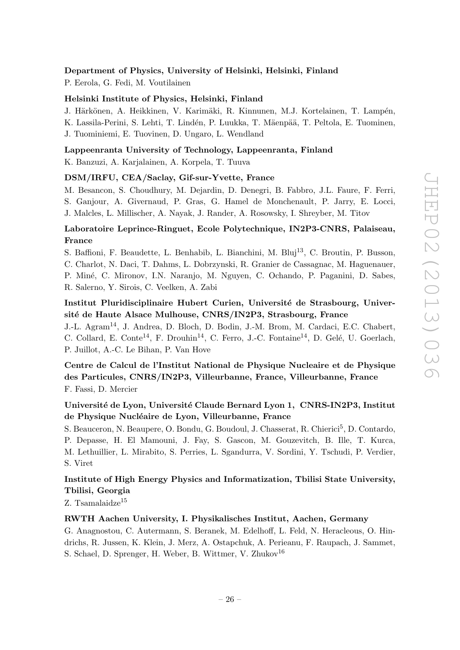### Department of Physics, University of Helsinki, Helsinki, Finland

P. Eerola, G. Fedi, M. Voutilainen

## Helsinki Institute of Physics, Helsinki, Finland

J. Härkönen, A. Heikkinen, V. Karimäki, R. Kinnunen, M.J. Kortelainen, T. Lampén, K. Lassila-Perini, S. Lehti, T. Lindén, P. Luukka, T. Mäenpää, T. Peltola, E. Tuominen, J. Tuominiemi, E. Tuovinen, D. Ungaro, L. Wendland

## Lappeenranta University of Technology, Lappeenranta, Finland

K. Banzuzi, A. Karjalainen, A. Korpela, T. Tuuva

## DSM/IRFU, CEA/Saclay, Gif-sur-Yvette, France

M. Besancon, S. Choudhury, M. Dejardin, D. Denegri, B. Fabbro, J.L. Faure, F. Ferri, S. Ganjour, A. Givernaud, P. Gras, G. Hamel de Monchenault, P. Jarry, E. Locci, J. Malcles, L. Millischer, A. Nayak, J. Rander, A. Rosowsky, I. Shreyber, M. Titov

## Laboratoire Leprince-Ringuet, Ecole Polytechnique, IN2P3-CNRS, Palaiseau, France

S. Baffioni, F. Beaudette, L. Benhabib, L. Bianchini, M. Bluj13, C. Broutin, P. Busson, C. Charlot, N. Daci, T. Dahms, L. Dobrzynski, R. Granier de Cassagnac, M. Haguenauer, P. Miné, C. Mironov, I.N. Naranjo, M. Nguyen, C. Ochando, P. Paganini, D. Sabes, R. Salerno, Y. Sirois, C. Veelken, A. Zabi

## Institut Pluridisciplinaire Hubert Curien, Université de Strasbourg, Université de Haute Alsace Mulhouse, CNRS/IN2P3, Strasbourg, France

J.-L. Agram<sup>14</sup>, J. Andrea, D. Bloch, D. Bodin, J.-M. Brom, M. Cardaci, E.C. Chabert, C. Collard, E. Conte<sup>14</sup>, F. Drouhin<sup>14</sup>, C. Ferro, J.-C. Fontaine<sup>14</sup>, D. Gelé, U. Goerlach, P. Juillot, A.-C. Le Bihan, P. Van Hove

Centre de Calcul de l'Institut National de Physique Nucleaire et de Physique des Particules, CNRS/IN2P3, Villeurbanne, France, Villeurbanne, France F. Fassi, D. Mercier

## Université de Lyon, Université Claude Bernard Lyon 1, CNRS-IN2P3, Institut de Physique Nucléaire de Lyon, Villeurbanne, France

S. Beauceron, N. Beaupere, O. Bondu, G. Boudoul, J. Chasserat, R. Chierici<sup>5</sup>, D. Contardo, P. Depasse, H. El Mamouni, J. Fay, S. Gascon, M. Gouzevitch, B. Ille, T. Kurca, M. Lethuillier, L. Mirabito, S. Perries, L. Sgandurra, V. Sordini, Y. Tschudi, P. Verdier, S. Viret

## Institute of High Energy Physics and Informatization, Tbilisi State University, Tbilisi, Georgia

Z. Tsamalaidze<sup>15</sup>

## RWTH Aachen University, I. Physikalisches Institut, Aachen, Germany

G. Anagnostou, C. Autermann, S. Beranek, M. Edelhoff, L. Feld, N. Heracleous, O. Hindrichs, R. Jussen, K. Klein, J. Merz, A. Ostapchuk, A. Perieanu, F. Raupach, J. Sammet, S. Schael, D. Sprenger, H. Weber, B. Wittmer, V. Zhukov<sup>16</sup>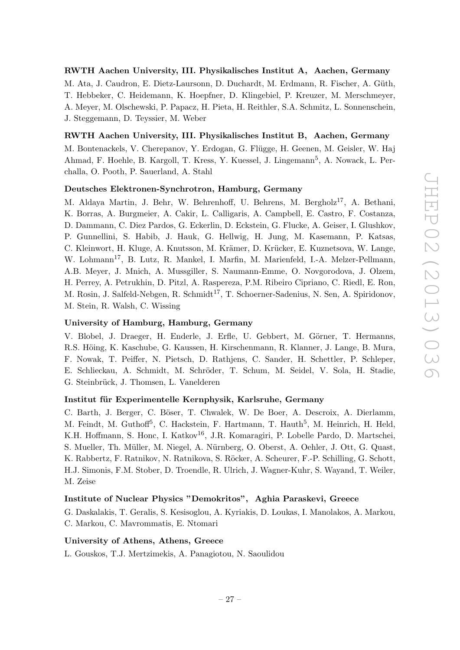## RWTH Aachen University, III. Physikalisches Institut A, Aachen, Germany

M. Ata, J. Caudron, E. Dietz-Laursonn, D. Duchardt, M. Erdmann, R. Fischer, A. Güth, T. Hebbeker, C. Heidemann, K. Hoepfner, D. Klingebiel, P. Kreuzer, M. Merschmeyer, A. Meyer, M. Olschewski, P. Papacz, H. Pieta, H. Reithler, S.A. Schmitz, L. Sonnenschein, J. Steggemann, D. Teyssier, M. Weber

#### RWTH Aachen University, III. Physikalisches Institut B, Aachen, Germany

M. Bontenackels, V. Cherepanov, Y. Erdogan, G. Flügge, H. Geenen, M. Geisler, W. Haj Ahmad, F. Hoehle, B. Kargoll, T. Kress, Y. Kuessel, J. Lingemann<sup>5</sup>, A. Nowack, L. Perchalla, O. Pooth, P. Sauerland, A. Stahl

## Deutsches Elektronen-Synchrotron, Hamburg, Germany

M. Aldaya Martin, J. Behr, W. Behrenhoff, U. Behrens, M. Bergholz<sup>17</sup>, A. Bethani, K. Borras, A. Burgmeier, A. Cakir, L. Calligaris, A. Campbell, E. Castro, F. Costanza, D. Dammann, C. Diez Pardos, G. Eckerlin, D. Eckstein, G. Flucke, A. Geiser, I. Glushkov, P. Gunnellini, S. Habib, J. Hauk, G. Hellwig, H. Jung, M. Kasemann, P. Katsas, C. Kleinwort, H. Kluge, A. Knutsson, M. Krämer, D. Krücker, E. Kuznetsova, W. Lange, W. Lohmann<sup>17</sup>, B. Lutz, R. Mankel, I. Marfin, M. Marienfeld, I.-A. Melzer-Pellmann, A.B. Meyer, J. Mnich, A. Mussgiller, S. Naumann-Emme, O. Novgorodova, J. Olzem, H. Perrey, A. Petrukhin, D. Pitzl, A. Raspereza, P.M. Ribeiro Cipriano, C. Riedl, E. Ron, M. Rosin, J. Salfeld-Nebgen, R. Schmidt<sup>17</sup>, T. Schoerner-Sadenius, N. Sen, A. Spiridonov, M. Stein, R. Walsh, C. Wissing

#### University of Hamburg, Hamburg, Germany

V. Blobel, J. Draeger, H. Enderle, J. Erfle, U. Gebbert, M. Görner, T. Hermanns, R.S. Höing, K. Kaschube, G. Kaussen, H. Kirschenmann, R. Klanner, J. Lange, B. Mura, F. Nowak, T. Peiffer, N. Pietsch, D. Rathjens, C. Sander, H. Schettler, P. Schleper, E. Schlieckau, A. Schmidt, M. Schröder, T. Schum, M. Seidel, V. Sola, H. Stadie, G. Steinbrück, J. Thomsen, L. Vanelderen

### Institut für Experimentelle Kernphysik, Karlsruhe, Germany

C. Barth, J. Berger, C. Böser, T. Chwalek, W. De Boer, A. Descroix, A. Dierlamm, M. Feindt, M. Guthoff<sup>5</sup>, C. Hackstein, F. Hartmann, T. Hauth<sup>5</sup>, M. Heinrich, H. Held, K.H. Hoffmann, S. Honc, I. Katkov<sup>16</sup>, J.R. Komaragiri, P. Lobelle Pardo, D. Martschei, S. Mueller, Th. Müller, M. Niegel, A. Nürnberg, O. Oberst, A. Oehler, J. Ott, G. Quast, K. Rabbertz, F. Ratnikov, N. Ratnikova, S. Röcker, A. Scheurer, F.-P. Schilling, G. Schott, H.J. Simonis, F.M. Stober, D. Troendle, R. Ulrich, J. Wagner-Kuhr, S. Wayand, T. Weiler, M. Zeise

## Institute of Nuclear Physics "Demokritos", Aghia Paraskevi, Greece

G. Daskalakis, T. Geralis, S. Kesisoglou, A. Kyriakis, D. Loukas, I. Manolakos, A. Markou, C. Markou, C. Mavrommatis, E. Ntomari

### University of Athens, Athens, Greece

L. Gouskos, T.J. Mertzimekis, A. Panagiotou, N. Saoulidou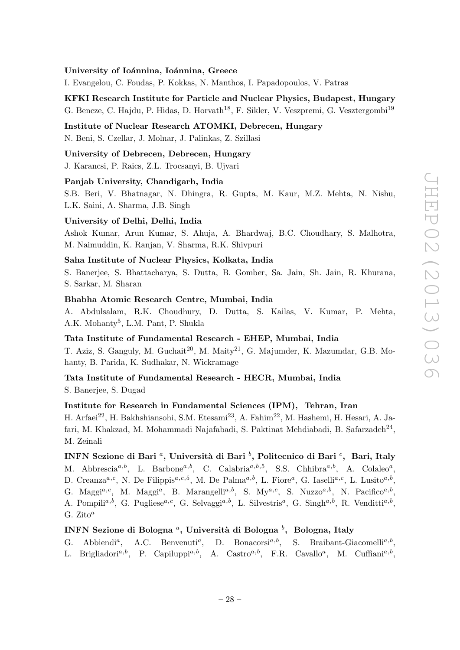#### University of Ioánnina, Ioánnina, Greece

I. Evangelou, C. Foudas, P. Kokkas, N. Manthos, I. Papadopoulos, V. Patras

## KFKI Research Institute for Particle and Nuclear Physics, Budapest, Hungary

G. Bencze, C. Hajdu, P. Hidas, D. Horvath<sup>18</sup>, F. Sikler, V. Veszpremi, G. Vesztergombi<sup>19</sup>

Institute of Nuclear Research ATOMKI, Debrecen, Hungary

N. Beni, S. Czellar, J. Molnar, J. Palinkas, Z. Szillasi

#### University of Debrecen, Debrecen, Hungary

J. Karancsi, P. Raics, Z.L. Trocsanyi, B. Ujvari

### Panjab University, Chandigarh, India

S.B. Beri, V. Bhatnagar, N. Dhingra, R. Gupta, M. Kaur, M.Z. Mehta, N. Nishu, L.K. Saini, A. Sharma, J.B. Singh

#### University of Delhi, Delhi, India

Ashok Kumar, Arun Kumar, S. Ahuja, A. Bhardwaj, B.C. Choudhary, S. Malhotra, M. Naimuddin, K. Ranjan, V. Sharma, R.K. Shivpuri

### Saha Institute of Nuclear Physics, Kolkata, India

S. Banerjee, S. Bhattacharya, S. Dutta, B. Gomber, Sa. Jain, Sh. Jain, R. Khurana, S. Sarkar, M. Sharan

## Bhabha Atomic Research Centre, Mumbai, India

A. Abdulsalam, R.K. Choudhury, D. Dutta, S. Kailas, V. Kumar, P. Mehta, A.K. Mohanty<sup>5</sup>, L.M. Pant, P. Shukla

## Tata Institute of Fundamental Research - EHEP, Mumbai, India

T. Aziz, S. Ganguly, M. Guchait<sup>20</sup>, M. Maity<sup>21</sup>, G. Majumder, K. Mazumdar, G.B. Mohanty, B. Parida, K. Sudhakar, N. Wickramage

Tata Institute of Fundamental Research - HECR, Mumbai, India

S. Banerjee, S. Dugad

## Institute for Research in Fundamental Sciences (IPM), Tehran, Iran

H. Arfaei<sup>22</sup>, H. Bakhshiansohi, S.M. Etesami<sup>23</sup>, A. Fahim<sup>22</sup>, M. Hashemi, H. Hesari, A. Jafari, M. Khakzad, M. Mohammadi Najafabadi, S. Paktinat Mehdiabadi, B. Safarzadeh $^{24}$ , M. Zeinali

## INFN Sezione di Bari <sup>a</sup>, Università di Bari  $^b$ , Politecnico di Bari  $^c$ , Bari, Italy M. Abbrescia<sup>a,b</sup>, L. Barbone<sup>a,b</sup>, C. Calabria<sup>a,b,5</sup>, S.S. Chhibra<sup>a,b</sup>, A. Colaleo<sup>a</sup>, D. Creanza<sup>a,c</sup>, N. De Filippis<sup>a,c,5</sup>, M. De Palma<sup>a,b</sup>, L. Fiore<sup>a</sup>, G. Iaselli<sup>a,c</sup>, L. Lusito<sup>a,b</sup>, G. Maggi<sup>a,c</sup>, M. Maggi<sup>a</sup>, B. Marangelli<sup>a,b</sup>, S. My<sup>a,c</sup>, S. Nuzzo<sup>a,b</sup>, N. Pacifico<sup>a,b</sup>, A. Pompili<sup>a,b</sup>, G. Pugliese<sup>a,c</sup>, G. Selvaggi<sup>a,b</sup>, L. Silvestris<sup>a</sup>, G. Singh<sup>a,b</sup>, R. Venditti<sup>a,b</sup>,  $G. Zito<sup>a</sup>$

## INFN Sezione di Bologna <sup>a</sup>, Università di Bologna  $^b$ , Bologna, Italy

G. Abbiendi<sup>a</sup>, A.C. Benvenuti<sup>a</sup>, D. Bonacorsi<sup>a,b</sup>, S. Braibant-Giacomelli<sup>a,b</sup>, L. Brigliadori<sup>a,b</sup>, P. Capiluppi<sup>a,b</sup>, A. Castro<sup>a,b</sup>, F.R. Cavallo<sup>a</sup>, M. Cuffiani<sup>a,b</sup>,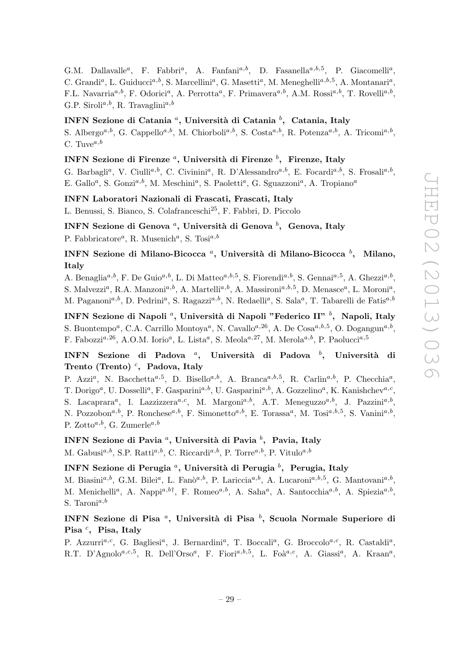G.M. Dallavalle<sup>a</sup>, F. Fabbri<sup>a</sup>, A. Fanfani<sup>a,b</sup>, D. Fasanella<sup>a,b,5</sup>, P. Giacomelli<sup>a</sup>, C. Grandi<sup>a</sup>, L. Guiducci<sup>a,b</sup>, S. Marcellini<sup>a</sup>, G. Masetti<sup>a</sup>, M. Meneghelli<sup>a,b,5</sup>, A. Montanari<sup>a</sup>, F.L. Navarria<sup>*a*,b</sup>, F. Odorici<sup>a</sup>, A. Perrotta<sup>*a*</sup>, F. Primavera<sup>*a*,b</sup>, A.M. Rossi<sup>*a*,b</sup>, T. Rovelli<sup>*a*,b</sup>, G.P. Siroli<sup>a,b</sup>, R. Travaglini<sup>a,b</sup>

## INFN Sezione di Catania <sup>a</sup>, Università di Catania  $^b$ , Catania, Italy

S. Albergo<sup>a,b</sup>, G. Cappello<sup>a,b</sup>, M. Chiorboli<sup>a,b</sup>, S. Costa<sup>a,b</sup>, R. Potenza<sup>a,b</sup>, A. Tricomi<sup>a,b</sup>, C. Tuve<sup> $a,b$ </sup>

## INFN Sezione di Firenze <sup>a</sup>, Università di Firenze  $^b$ , Firenze, Italy

G. Barbagli<sup>a</sup>, V. Ciulli<sup>a,b</sup>, C. Civinini<sup>a</sup>, R. D'Alessandro<sup>a,b</sup>, E. Focardi<sup>a,b</sup>, S. Frosali<sup>a,b</sup>, E. Gallo<sup>a</sup>, S. Gonzi<sup>a,b</sup>, M. Meschini<sup>a</sup>, S. Paoletti<sup>a</sup>, G. Sguazzoni<sup>a</sup>, A. Tropiano<sup>a</sup>

INFN Laboratori Nazionali di Frascati, Frascati, Italy

L. Benussi, S. Bianco, S. Colafranceschi25, F. Fabbri, D. Piccolo

INFN Sezione di Genova  $^a,$  Università di Genova  $^b, \,$  Genova, Italy P. Fabbricatore<sup>*a*</sup>, R. Musenich<sup>*a*</sup>, S. Tosi<sup>*a*,*b*</sup>

## INFN Sezione di Milano-Bicocca <sup>a</sup>, Università di Milano-Bicocca <sup>b</sup>, Milano, Italy

A. Benaglia<sup>a,b</sup>, F. De Guio<sup>a,b</sup>, L. Di Matteo<sup>a,b,5</sup>, S. Fiorendi<sup>a,b</sup>, S. Gennai<sup>a,5</sup>, A. Ghezzi<sup>a,b</sup>, S. Malvezzi<sup>a</sup>, R.A. Manzoni<sup>a,b</sup>, A. Martelli<sup>a,b</sup>, A. Massironi<sup>a,b,5</sup>, D. Menasce<sup>a</sup>, L. Moroni<sup>a</sup>, M. Paganoni<sup>a, b</sup>, D. Pedrini<sup>a</sup>, S. Ragazzi<sup>a, b</sup>, N. Redaelli<sup>a</sup>, S. Sala<sup>a</sup>, T. Tabarelli de Fatis<sup>a, b</sup>

INFN Sezione di Napoli <sup>a</sup>, Università di Napoli "Federico II"  $^b$ , Napoli, Italy S. Buontempo<sup>a</sup>, C.A. Carrillo Montoya<sup>a</sup>, N. Cavallo<sup>a, 26</sup>, A. De Cosa<sup>a, b, 5</sup>, O. Dogangun<sup>a, b</sup>, F. Fabozzi<sup>a, 26</sup>, A.O.M. Iorio<sup>a</sup>, L. Lista<sup>a</sup>, S. Meola<sup>a, 27</sup>, M. Merola<sup>a, b</sup>, P. Paolucci<sup>a, 5</sup>

## INFN Sezione di Padova <sup>a</sup>, Università di Padova <sup>b</sup>, Università di  **(Trento)<sup>c</sup>, Padova, Italy**

P. Azzi<sup>a</sup>, N. Bacchetta<sup>a, 5</sup>, D. Bisello<sup>a, b</sup>, A. Branca<sup>a, b, 5</sup>, R. Carlin<sup>a, b</sup>, P. Checchia<sup>a</sup>, T. Dorigo<sup>a</sup>, U. Dosselli<sup>a</sup>, F. Gasparini<sup>a,b</sup>, U. Gasparini<sup>a,b</sup>, A. Gozzelino<sup>a</sup>, K. Kanishchev<sup>a,c</sup>, S. Lacaprara<sup>a</sup>, I. Lazzizzera<sup>a,c</sup>, M. Margoni<sup>a,b</sup>, A.T. Meneguzzo<sup>a,b</sup>, J. Pazzini<sup>a,b</sup>, N. Pozzobon<sup>a,b</sup>, P. Ronchese<sup>a,b</sup>, F. Simonetto<sup>a,b</sup>, E. Torassa<sup>a</sup>, M. Tosi<sup>a,b,5</sup>, S. Vanini<sup>a,b</sup>, P. Zotto $a,b$ , G. Zumerle $a,b$ 

INFN Sezione di Pavia  $^a,$  Università di Pavia  $^b, \,$  Pavia, Italy M. Gabusi<sup>a,b</sup>, S.P. Ratti<sup>a,b</sup>, C. Riccardi<sup>a,b</sup>, P. Torre<sup>a,b</sup>, P. Vitulo<sup>a,b</sup>

## INFN Sezione di Perugia  $^a,$  Università di Perugia  $^b,~$  Perugia, Italy

M. Biasini<sup>a,b</sup>, G.M. Bilei<sup>a</sup>, L. Fanò<sup>a,b</sup>, P. Lariccia<sup>a,b</sup>, A. Lucaroni<sup>a,b,5</sup>, G. Mantovani<sup>a,b</sup>, M. Menichelli<sup>a</sup>, A. Nappi<sup>a,b†</sup>, F. Romeo<sup>a,b</sup>, A. Saha<sup>a</sup>, A. Santocchia<sup>a,b</sup>, A. Spiezia<sup>a,b</sup>, S. Taroni<sup> $a,b$ </sup>

## INFN Sezione di Pisa <sup>a</sup>, Università di Pisa <sup>b</sup>, Scuola Normale Superiore di Pisa<sup>c</sup>, Pisa, Italy

P. Azzurri<sup>a,c</sup>, G. Bagliesi<sup>a</sup>, J. Bernardini<sup>a</sup>, T. Boccali<sup>a</sup>, G. Broccolo<sup>a,c</sup>, R. Castaldi<sup>a</sup>, R.T. D'Agnolo<sup>a,c,5</sup>, R. Dell'Orso<sup>a</sup>, F. Fiori<sup>a,b,5</sup>, L. Foà<sup>a,c</sup>, A. Giassi<sup>a</sup>, A. Kraan<sup>a</sup>,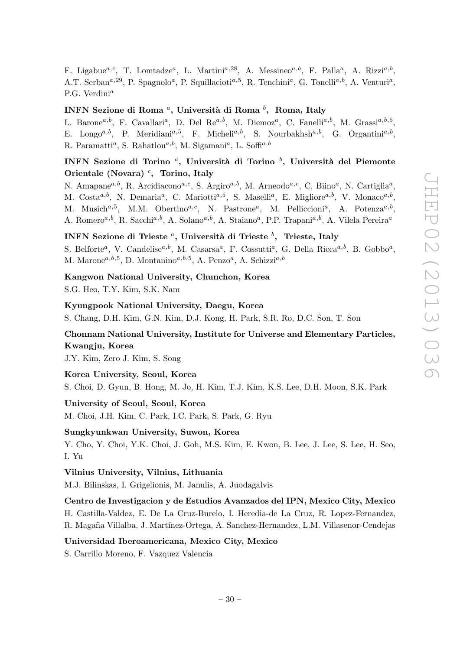F. Ligabue<sup>a,c</sup>, T. Lomtadze<sup>a</sup>, L. Martini<sup>a, 28</sup>, A. Messineo<sup>a,b</sup>, F. Palla<sup>a</sup>, A. Rizzi<sup>a,b</sup>, A.T. Serban<sup>a, 29</sup>, P. Spagnolo<sup>a</sup>, P. Squillacioti<sup>a, 5</sup>, R. Tenchini<sup>a</sup>, G. Tonelli<sup>a, b</sup>, A. Venturi<sup>a</sup>, P.G. Verdini<sup>a</sup>

## INFN Sezione di Roma  $^a,$  Università di Roma  $^b, \, \,$  Roma, Italy

L. Barone<sup>a,b</sup>, F. Cavallari<sup>a</sup>, D. Del Re<sup>a,b</sup>, M. Diemoz<sup>a</sup>, C. Fanelli<sup>a,b</sup>, M. Grassi<sup>a,b,5</sup>, E. Longo<sup>a,b</sup>, P. Meridiani<sup>a,5</sup>, F. Micheli<sup>a,b</sup>, S. Nourbakhsh<sup>a,b</sup>, G. Organtini<sup>a,b</sup>, R. Paramatti<sup>a</sup>, S. Rahatlou<sup>a,b</sup>, M. Sigamani<sup>a</sup>, L. Soffi<sup>a,b</sup>

## INFN Sezione di Torino <sup>a</sup>, Università di Torino <sup>b</sup>, Università del Piemonte Orientale (Novara)<sup>c</sup>, Torino, Italy

N. Amapane<sup>a,b</sup>, R. Arcidiacono<sup>a,c</sup>, S. Argiro<sup>a,b</sup>, M. Arneodo<sup>a,c</sup>, C. Biino<sup>a</sup>, N. Cartiglia<sup>a</sup>, M. Costa<sup>a,b</sup>, N. Demaria<sup>a</sup>, C. Mariotti<sup>a,5</sup>, S. Maselli<sup>a</sup>, E. Migliore<sup>a,b</sup>, V. Monaco<sup>a,b</sup>, M. Musich<sup>a,5</sup>, M.M. Obertino<sup>a,c</sup>, N. Pastrone<sup>a</sup>, M. Pelliccioni<sup>a</sup>, A. Potenza<sup>a,b</sup>, A. Romero<sup>a,b</sup>, R. Sacchi<sup>a,b</sup>, A. Solano<sup>a,b</sup>, A. Staiano<sup>a</sup>, P.P. Trapani<sup>a,b</sup>, A. Vilela Pereira<sup>a</sup>

## INFN Sezione di Trieste <sup>a</sup>, Università di Trieste  $^b$ , Trieste, Italy

S. Belforte<sup>a</sup>, V. Candelise<sup>a,b</sup>, M. Casarsa<sup>a</sup>, F. Cossutti<sup>a</sup>, G. Della Ricca<sup>a,b</sup>, B. Gobbo<sup>a</sup>, M. Marone<sup> $a,b,5$ </sup>, D. Montanino $a,b,5$ , A. Penzo<sup>a</sup>, A. Schizzi<sup> $a,b$ </sup>

## Kangwon National University, Chunchon, Korea

S.G. Heo, T.Y. Kim, S.K. Nam

## Kyungpook National University, Daegu, Korea

S. Chang, D.H. Kim, G.N. Kim, D.J. Kong, H. Park, S.R. Ro, D.C. Son, T. Son

## Chonnam National University, Institute for Universe and Elementary Particles, Kwangju, Korea

J.Y. Kim, Zero J. Kim, S. Song

## Korea University, Seoul, Korea S. Choi, D. Gyun, B. Hong, M. Jo, H. Kim, T.J. Kim, K.S. Lee, D.H. Moon, S.K. Park

#### University of Seoul, Seoul, Korea

M. Choi, J.H. Kim, C. Park, I.C. Park, S. Park, G. Ryu

#### Sungkyunkwan University, Suwon, Korea

Y. Cho, Y. Choi, Y.K. Choi, J. Goh, M.S. Kim, E. Kwon, B. Lee, J. Lee, S. Lee, H. Seo, I. Yu

## Vilnius University, Vilnius, Lithuania

M.J. Bilinskas, I. Grigelionis, M. Janulis, A. Juodagalvis

## Centro de Investigacion y de Estudios Avanzados del IPN, Mexico City, Mexico

H. Castilla-Valdez, E. De La Cruz-Burelo, I. Heredia-de La Cruz, R. Lopez-Fernandez,

R. Magaña Villalba, J. Martínez-Ortega, A. Sanchez-Hernandez, L.M. Villasenor-Cendejas

## Universidad Iberoamericana, Mexico City, Mexico

S. Carrillo Moreno, F. Vazquez Valencia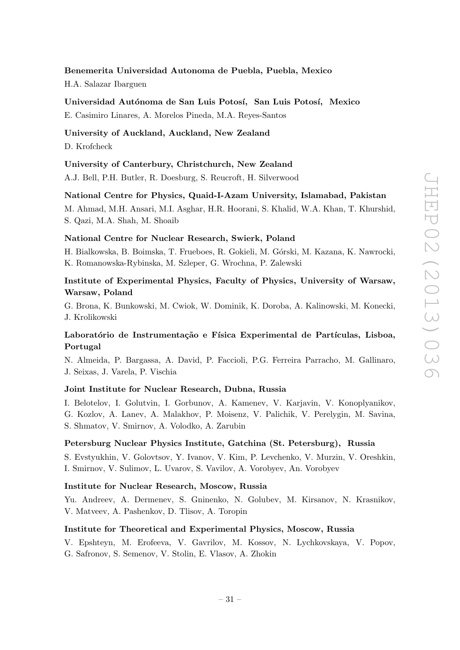#### Benemerita Universidad Autonoma de Puebla, Puebla, Mexico

H.A. Salazar Ibarguen

## Universidad Autónoma de San Luis Potosí, San Luis Potosí, Mexico

E. Casimiro Linares, A. Morelos Pineda, M.A. Reyes-Santos

### University of Auckland, Auckland, New Zealand

D. Krofcheck

### University of Canterbury, Christchurch, New Zealand

A.J. Bell, P.H. Butler, R. Doesburg, S. Reucroft, H. Silverwood

#### National Centre for Physics, Quaid-I-Azam University, Islamabad, Pakistan

M. Ahmad, M.H. Ansari, M.I. Asghar, H.R. Hoorani, S. Khalid, W.A. Khan, T. Khurshid, S. Qazi, M.A. Shah, M. Shoaib

#### National Centre for Nuclear Research, Swierk, Poland

H. Bialkowska, B. Boimska, T. Frueboes, R. Gokieli, M. Górski, M. Kazana, K. Nawrocki, K. Romanowska-Rybinska, M. Szleper, G. Wrochna, P. Zalewski

## Institute of Experimental Physics, Faculty of Physics, University of Warsaw, Warsaw, Poland

G. Brona, K. Bunkowski, M. Cwiok, W. Dominik, K. Doroba, A. Kalinowski, M. Konecki, J. Krolikowski

## Laboratório de Instrumentação e Física Experimental de Partículas, Lisboa, Portugal

N. Almeida, P. Bargassa, A. David, P. Faccioli, P.G. Ferreira Parracho, M. Gallinaro, J. Seixas, J. Varela, P. Vischia

#### Joint Institute for Nuclear Research, Dubna, Russia

I. Belotelov, I. Golutvin, I. Gorbunov, A. Kamenev, V. Karjavin, V. Konoplyanikov, G. Kozlov, A. Lanev, A. Malakhov, P. Moisenz, V. Palichik, V. Perelygin, M. Savina, S. Shmatov, V. Smirnov, A. Volodko, A. Zarubin

## Petersburg Nuclear Physics Institute, Gatchina (St. Petersburg), Russia

S. Evstyukhin, V. Golovtsov, Y. Ivanov, V. Kim, P. Levchenko, V. Murzin, V. Oreshkin, I. Smirnov, V. Sulimov, L. Uvarov, S. Vavilov, A. Vorobyev, An. Vorobyev

### Institute for Nuclear Research, Moscow, Russia

Yu. Andreev, A. Dermenev, S. Gninenko, N. Golubev, M. Kirsanov, N. Krasnikov, V. Matveev, A. Pashenkov, D. Tlisov, A. Toropin

### Institute for Theoretical and Experimental Physics, Moscow, Russia

V. Epshteyn, M. Erofeeva, V. Gavrilov, M. Kossov, N. Lychkovskaya, V. Popov, G. Safronov, S. Semenov, V. Stolin, E. Vlasov, A. Zhokin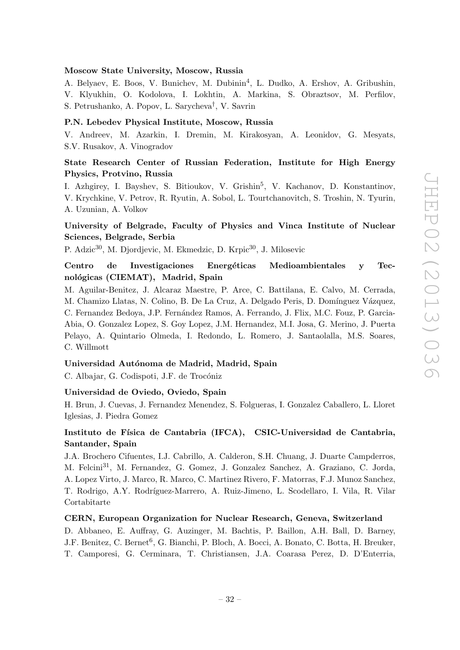#### Moscow State University, Moscow, Russia

A. Belyaev, E. Boos, V. Bunichev, M. Dubinin<sup>4</sup>, L. Dudko, A. Ershov, A. Gribushin, V. Klyukhin, O. Kodolova, I. Lokhtin, A. Markina, S. Obraztsov, M. Perfilov, S. Petrushanko, A. Popov, L. Sarycheva† , V. Savrin

## P.N. Lebedev Physical Institute, Moscow, Russia

V. Andreev, M. Azarkin, I. Dremin, M. Kirakosyan, A. Leonidov, G. Mesyats, S.V. Rusakov, A. Vinogradov

## State Research Center of Russian Federation, Institute for High Energy Physics, Protvino, Russia

I. Azhgirey, I. Bayshev, S. Bitioukov, V. Grishin<sup>5</sup>, V. Kachanov, D. Konstantinov, V. Krychkine, V. Petrov, R. Ryutin, A. Sobol, L. Tourtchanovitch, S. Troshin, N. Tyurin, A. Uzunian, A. Volkov

## University of Belgrade, Faculty of Physics and Vinca Institute of Nuclear Sciences, Belgrade, Serbia

P. Adzic<sup>30</sup>, M. Djordjevic, M. Ekmedzic, D. Krpic<sup>30</sup>, J. Milosevic

## Centro de Investigaciones Energéticas Medioambientales y Tecnológicas (CIEMAT), Madrid, Spain

M. Aguilar-Benitez, J. Alcaraz Maestre, P. Arce, C. Battilana, E. Calvo, M. Cerrada, M. Chamizo Llatas, N. Colino, B. De La Cruz, A. Delgado Peris, D. Domínguez Vázquez, C. Fernandez Bedoya, J.P. Fernández Ramos, A. Ferrando, J. Flix, M.C. Fouz, P. Garcia-Abia, O. Gonzalez Lopez, S. Goy Lopez, J.M. Hernandez, M.I. Josa, G. Merino, J. Puerta Pelayo, A. Quintario Olmeda, I. Redondo, L. Romero, J. Santaolalla, M.S. Soares, C. Willmott

#### Universidad Autónoma de Madrid, Madrid, Spain

C. Albajar, G. Codispoti, J.F. de Trocóniz

## Universidad de Oviedo, Oviedo, Spain

H. Brun, J. Cuevas, J. Fernandez Menendez, S. Folgueras, I. Gonzalez Caballero, L. Lloret Iglesias, J. Piedra Gomez

## Instituto de Física de Cantabria (IFCA), CSIC-Universidad de Cantabria, Santander, Spain

J.A. Brochero Cifuentes, I.J. Cabrillo, A. Calderon, S.H. Chuang, J. Duarte Campderros, M. Felcini<sup>31</sup>, M. Fernandez, G. Gomez, J. Gonzalez Sanchez, A. Graziano, C. Jorda, A. Lopez Virto, J. Marco, R. Marco, C. Martinez Rivero, F. Matorras, F.J. Munoz Sanchez, T. Rodrigo, A.Y. Rodríguez-Marrero, A. Ruiz-Jimeno, L. Scodellaro, I. Vila, R. Vilar Cortabitarte

## CERN, European Organization for Nuclear Research, Geneva, Switzerland

D. Abbaneo, E. Auffray, G. Auzinger, M. Bachtis, P. Baillon, A.H. Ball, D. Barney, J.F. Benitez, C. Bernet<sup>6</sup>, G. Bianchi, P. Bloch, A. Bocci, A. Bonato, C. Botta, H. Breuker, T. Camporesi, G. Cerminara, T. Christiansen, J.A. Coarasa Perez, D. D'Enterria,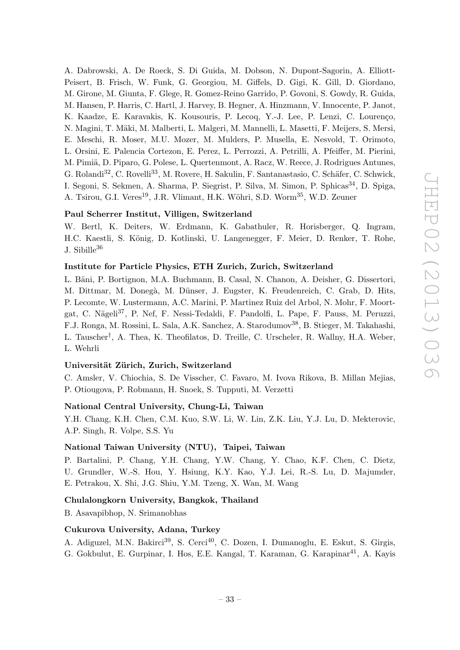A. Dabrowski, A. De Roeck, S. Di Guida, M. Dobson, N. Dupont-Sagorin, A. Elliott-Peisert, B. Frisch, W. Funk, G. Georgiou, M. Giffels, D. Gigi, K. Gill, D. Giordano, M. Girone, M. Giunta, F. Glege, R. Gomez-Reino Garrido, P. Govoni, S. Gowdy, R. Guida, M. Hansen, P. Harris, C. Hartl, J. Harvey, B. Hegner, A. Hinzmann, V. Innocente, P. Janot, K. Kaadze, E. Karavakis, K. Kousouris, P. Lecoq, Y.-J. Lee, P. Lenzi, C. Lourenço, N. Magini, T. Mäki, M. Malberti, L. Malgeri, M. Mannelli, L. Masetti, F. Meijers, S. Mersi, E. Meschi, R. Moser, M.U. Mozer, M. Mulders, P. Musella, E. Nesvold, T. Orimoto, L. Orsini, E. Palencia Cortezon, E. Perez, L. Perrozzi, A. Petrilli, A. Pfeiffer, M. Pierini, M. Pimiä, D. Piparo, G. Polese, L. Quertenmont, A. Racz, W. Reece, J. Rodrigues Antunes, G. Rolandi<sup>32</sup>, C. Rovelli<sup>33</sup>, M. Rovere, H. Sakulin, F. Santanastasio, C. Schäfer, C. Schwick, I. Segoni, S. Sekmen, A. Sharma, P. Siegrist, P. Silva, M. Simon, P. Sphicas<sup>34</sup>, D. Spiga, A. Tsirou, G.I. Veres<sup>19</sup>, J.R. Vlimant, H.K. Wöhri, S.D. Worm<sup>35</sup>, W.D. Zeuner

### Paul Scherrer Institut, Villigen, Switzerland

W. Bertl, K. Deiters, W. Erdmann, K. Gabathuler, R. Horisberger, Q. Ingram, H.C. Kaestli, S. König, D. Kotlinski, U. Langenegger, F. Meier, D. Renker, T. Rohe, J. Sibille<sup>36</sup>

### Institute for Particle Physics, ETH Zurich, Zurich, Switzerland

L. Bäni, P. Bortignon, M.A. Buchmann, B. Casal, N. Chanon, A. Deisher, G. Dissertori, M. Dittmar, M. Donegà, M. Dünser, J. Eugster, K. Freudenreich, C. Grab, D. Hits, P. Lecomte, W. Lustermann, A.C. Marini, P. Martinez Ruiz del Arbol, N. Mohr, F. Moortgat, C. Nägeli<sup>37</sup>, P. Nef, F. Nessi-Tedaldi, F. Pandolfi, L. Pape, F. Pauss, M. Peruzzi, F.J. Ronga, M. Rossini, L. Sala, A.K. Sanchez, A. Starodumov<sup>38</sup>, B. Stieger, M. Takahashi, L. Tauscher† , A. Thea, K. Theofilatos, D. Treille, C. Urscheler, R. Wallny, H.A. Weber, L. Wehrli

#### Universität Zürich, Zurich, Switzerland

C. Amsler, V. Chiochia, S. De Visscher, C. Favaro, M. Ivova Rikova, B. Millan Mejias, P. Otiougova, P. Robmann, H. Snoek, S. Tupputi, M. Verzetti

### National Central University, Chung-Li, Taiwan

Y.H. Chang, K.H. Chen, C.M. Kuo, S.W. Li, W. Lin, Z.K. Liu, Y.J. Lu, D. Mekterovic, A.P. Singh, R. Volpe, S.S. Yu

#### National Taiwan University (NTU), Taipei, Taiwan

P. Bartalini, P. Chang, Y.H. Chang, Y.W. Chang, Y. Chao, K.F. Chen, C. Dietz, U. Grundler, W.-S. Hou, Y. Hsiung, K.Y. Kao, Y.J. Lei, R.-S. Lu, D. Majumder, E. Petrakou, X. Shi, J.G. Shiu, Y.M. Tzeng, X. Wan, M. Wang

#### Chulalongkorn University, Bangkok, Thailand

B. Asavapibhop, N. Srimanobhas

### Cukurova University, Adana, Turkey

A. Adiguzel, M.N. Bakirci<sup>39</sup>, S. Cerci<sup>40</sup>, C. Dozen, I. Dumanoglu, E. Eskut, S. Girgis, G. Gokbulut, E. Gurpinar, I. Hos, E.E. Kangal, T. Karaman, G. Karapinar<sup>41</sup>, A. Kavis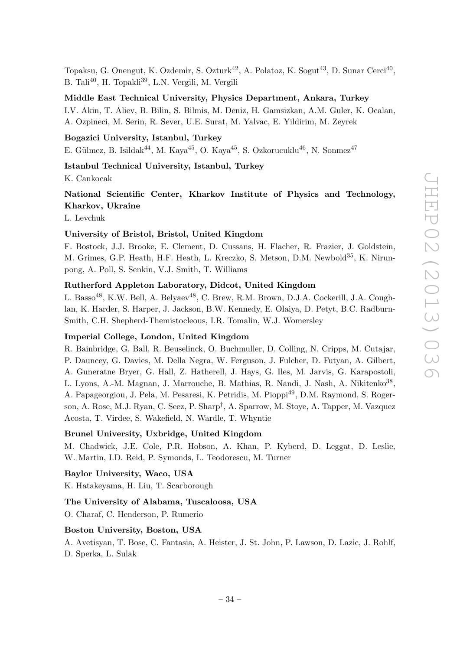Topaksu, G. Onengut, K. Ozdemir, S. Ozturk<sup>42</sup>, A. Polatoz, K. Sogut<sup>43</sup>, D. Sunar Cerci<sup>40</sup>, B. Tali40, H. Topakli39, L.N. Vergili, M. Vergili

## Middle East Technical University, Physics Department, Ankara, Turkey

I.V. Akin, T. Aliev, B. Bilin, S. Bilmis, M. Deniz, H. Gamsizkan, A.M. Guler, K. Ocalan, A. Ozpineci, M. Serin, R. Sever, U.E. Surat, M. Yalvac, E. Yildirim, M. Zeyrek

## Bogazici University, Istanbul, Turkey

E. Gülmez, B. Isildak<sup>44</sup>, M. Kaya<sup>45</sup>, O. Kaya<sup>45</sup>, S. Ozkorucuklu<sup>46</sup>, N. Sonmez<sup>47</sup>

Istanbul Technical University, Istanbul, Turkey

K. Cankocak

## National Scientific Center, Kharkov Institute of Physics and Technology, Kharkov, Ukraine

L. Levchuk

## University of Bristol, Bristol, United Kingdom

F. Bostock, J.J. Brooke, E. Clement, D. Cussans, H. Flacher, R. Frazier, J. Goldstein, M. Grimes, G.P. Heath, H.F. Heath, L. Kreczko, S. Metson, D.M. Newbold<sup>35</sup>, K. Nirunpong, A. Poll, S. Senkin, V.J. Smith, T. Williams

## Rutherford Appleton Laboratory, Didcot, United Kingdom

L. Basso<sup>48</sup>, K.W. Bell, A. Belyaev<sup>48</sup>, C. Brew, R.M. Brown, D.J.A. Cockerill, J.A. Coughlan, K. Harder, S. Harper, J. Jackson, B.W. Kennedy, E. Olaiya, D. Petyt, B.C. Radburn-Smith, C.H. Shepherd-Themistocleous, I.R. Tomalin, W.J. Womersley

## Imperial College, London, United Kingdom

R. Bainbridge, G. Ball, R. Beuselinck, O. Buchmuller, D. Colling, N. Cripps, M. Cutajar, P. Dauncey, G. Davies, M. Della Negra, W. Ferguson, J. Fulcher, D. Futyan, A. Gilbert, A. Guneratne Bryer, G. Hall, Z. Hatherell, J. Hays, G. Iles, M. Jarvis, G. Karapostoli, L. Lyons, A.-M. Magnan, J. Marrouche, B. Mathias, R. Nandi, J. Nash, A. Nikitenko<sup>38</sup>, A. Papageorgiou, J. Pela, M. Pesaresi, K. Petridis, M. Pioppi<sup>49</sup>, D.M. Raymond, S. Rogerson, A. Rose, M.J. Ryan, C. Seez, P. Sharp† , A. Sparrow, M. Stoye, A. Tapper, M. Vazquez Acosta, T. Virdee, S. Wakefield, N. Wardle, T. Whyntie

## Brunel University, Uxbridge, United Kingdom

M. Chadwick, J.E. Cole, P.R. Hobson, A. Khan, P. Kyberd, D. Leggat, D. Leslie, W. Martin, I.D. Reid, P. Symonds, L. Teodorescu, M. Turner

Baylor University, Waco, USA

K. Hatakeyama, H. Liu, T. Scarborough

## The University of Alabama, Tuscaloosa, USA

O. Charaf, C. Henderson, P. Rumerio

#### Boston University, Boston, USA

A. Avetisyan, T. Bose, C. Fantasia, A. Heister, J. St. John, P. Lawson, D. Lazic, J. Rohlf,

D. Sperka, L. Sulak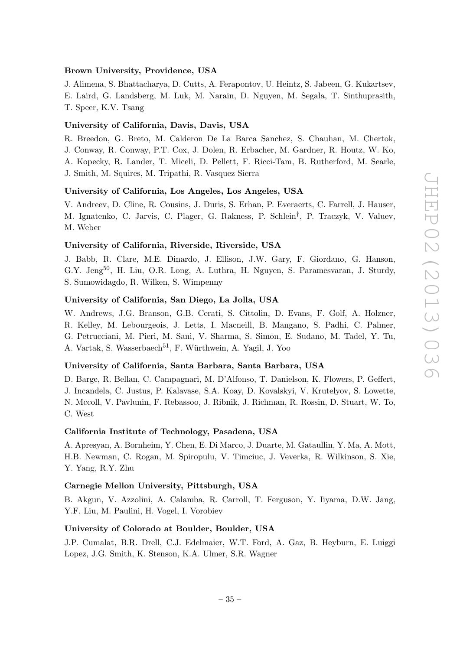#### Brown University, Providence, USA

J. Alimena, S. Bhattacharya, D. Cutts, A. Ferapontov, U. Heintz, S. Jabeen, G. Kukartsev, E. Laird, G. Landsberg, M. Luk, M. Narain, D. Nguyen, M. Segala, T. Sinthuprasith, T. Speer, K.V. Tsang

#### University of California, Davis, Davis, USA

R. Breedon, G. Breto, M. Calderon De La Barca Sanchez, S. Chauhan, M. Chertok, J. Conway, R. Conway, P.T. Cox, J. Dolen, R. Erbacher, M. Gardner, R. Houtz, W. Ko, A. Kopecky, R. Lander, T. Miceli, D. Pellett, F. Ricci-Tam, B. Rutherford, M. Searle, J. Smith, M. Squires, M. Tripathi, R. Vasquez Sierra

## University of California, Los Angeles, Los Angeles, USA

V. Andreev, D. Cline, R. Cousins, J. Duris, S. Erhan, P. Everaerts, C. Farrell, J. Hauser, M. Ignatenko, C. Jarvis, C. Plager, G. Rakness, P. Schlein† , P. Traczyk, V. Valuev, M. Weber

### University of California, Riverside, Riverside, USA

J. Babb, R. Clare, M.E. Dinardo, J. Ellison, J.W. Gary, F. Giordano, G. Hanson, G.Y. Jeng50, H. Liu, O.R. Long, A. Luthra, H. Nguyen, S. Paramesvaran, J. Sturdy, S. Sumowidagdo, R. Wilken, S. Wimpenny

## University of California, San Diego, La Jolla, USA

W. Andrews, J.G. Branson, G.B. Cerati, S. Cittolin, D. Evans, F. Golf, A. Holzner, R. Kelley, M. Lebourgeois, J. Letts, I. Macneill, B. Mangano, S. Padhi, C. Palmer, G. Petrucciani, M. Pieri, M. Sani, V. Sharma, S. Simon, E. Sudano, M. Tadel, Y. Tu, A. Vartak, S. Wasserbaech<sup>51</sup>, F. Würthwein, A. Yagil, J. Yoo

#### University of California, Santa Barbara, Santa Barbara, USA

D. Barge, R. Bellan, C. Campagnari, M. D'Alfonso, T. Danielson, K. Flowers, P. Geffert, J. Incandela, C. Justus, P. Kalavase, S.A. Koay, D. Kovalskyi, V. Krutelyov, S. Lowette, N. Mccoll, V. Pavlunin, F. Rebassoo, J. Ribnik, J. Richman, R. Rossin, D. Stuart, W. To, C. West

## California Institute of Technology, Pasadena, USA

A. Apresyan, A. Bornheim, Y. Chen, E. Di Marco, J. Duarte, M. Gataullin, Y. Ma, A. Mott, H.B. Newman, C. Rogan, M. Spiropulu, V. Timciuc, J. Veverka, R. Wilkinson, S. Xie, Y. Yang, R.Y. Zhu

### Carnegie Mellon University, Pittsburgh, USA

B. Akgun, V. Azzolini, A. Calamba, R. Carroll, T. Ferguson, Y. Iiyama, D.W. Jang, Y.F. Liu, M. Paulini, H. Vogel, I. Vorobiev

## University of Colorado at Boulder, Boulder, USA

J.P. Cumalat, B.R. Drell, C.J. Edelmaier, W.T. Ford, A. Gaz, B. Heyburn, E. Luiggi Lopez, J.G. Smith, K. Stenson, K.A. Ulmer, S.R. Wagner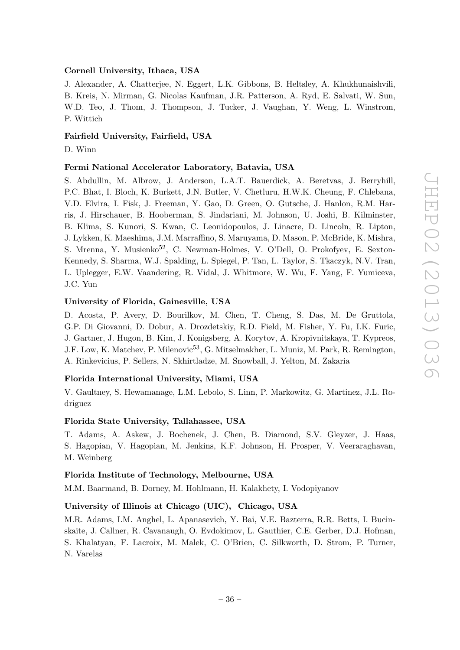## Cornell University, Ithaca, USA

J. Alexander, A. Chatterjee, N. Eggert, L.K. Gibbons, B. Heltsley, A. Khukhunaishvili, B. Kreis, N. Mirman, G. Nicolas Kaufman, J.R. Patterson, A. Ryd, E. Salvati, W. Sun, W.D. Teo, J. Thom, J. Thompson, J. Tucker, J. Vaughan, Y. Weng, L. Winstrom, P. Wittich

#### Fairfield University, Fairfield, USA

D. Winn

## Fermi National Accelerator Laboratory, Batavia, USA

S. Abdullin, M. Albrow, J. Anderson, L.A.T. Bauerdick, A. Beretvas, J. Berryhill, P.C. Bhat, I. Bloch, K. Burkett, J.N. Butler, V. Chetluru, H.W.K. Cheung, F. Chlebana, V.D. Elvira, I. Fisk, J. Freeman, Y. Gao, D. Green, O. Gutsche, J. Hanlon, R.M. Harris, J. Hirschauer, B. Hooberman, S. Jindariani, M. Johnson, U. Joshi, B. Kilminster, B. Klima, S. Kunori, S. Kwan, C. Leonidopoulos, J. Linacre, D. Lincoln, R. Lipton, J. Lykken, K. Maeshima, J.M. Marraffino, S. Maruyama, D. Mason, P. McBride, K. Mishra, S. Mrenna, Y. Musienko<sup>52</sup>, C. Newman-Holmes, V. O'Dell, O. Prokofyev, E. Sexton-Kennedy, S. Sharma, W.J. Spalding, L. Spiegel, P. Tan, L. Taylor, S. Tkaczyk, N.V. Tran, L. Uplegger, E.W. Vaandering, R. Vidal, J. Whitmore, W. Wu, F. Yang, F. Yumiceva, J.C. Yun

## University of Florida, Gainesville, USA

D. Acosta, P. Avery, D. Bourilkov, M. Chen, T. Cheng, S. Das, M. De Gruttola, G.P. Di Giovanni, D. Dobur, A. Drozdetskiy, R.D. Field, M. Fisher, Y. Fu, I.K. Furic, J. Gartner, J. Hugon, B. Kim, J. Konigsberg, A. Korytov, A. Kropivnitskaya, T. Kypreos, J.F. Low, K. Matchev, P. Milenovic<sup>53</sup>, G. Mitselmakher, L. Muniz, M. Park, R. Remington, A. Rinkevicius, P. Sellers, N. Skhirtladze, M. Snowball, J. Yelton, M. Zakaria

#### Florida International University, Miami, USA

V. Gaultney, S. Hewamanage, L.M. Lebolo, S. Linn, P. Markowitz, G. Martinez, J.L. Rodriguez

## Florida State University, Tallahassee, USA

T. Adams, A. Askew, J. Bochenek, J. Chen, B. Diamond, S.V. Gleyzer, J. Haas, S. Hagopian, V. Hagopian, M. Jenkins, K.F. Johnson, H. Prosper, V. Veeraraghavan, M. Weinberg

#### Florida Institute of Technology, Melbourne, USA

M.M. Baarmand, B. Dorney, M. Hohlmann, H. Kalakhety, I. Vodopiyanov

## University of Illinois at Chicago (UIC), Chicago, USA

M.R. Adams, I.M. Anghel, L. Apanasevich, Y. Bai, V.E. Bazterra, R.R. Betts, I. Bucinskaite, J. Callner, R. Cavanaugh, O. Evdokimov, L. Gauthier, C.E. Gerber, D.J. Hofman, S. Khalatyan, F. Lacroix, M. Malek, C. O'Brien, C. Silkworth, D. Strom, P. Turner, N. Varelas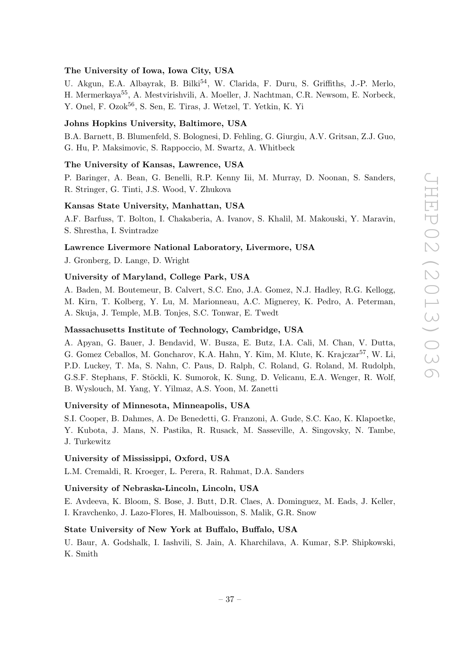### The University of Iowa, Iowa City, USA

U. Akgun, E.A. Albayrak, B. Bilki<sup>54</sup>, W. Clarida, F. Duru, S. Griffiths, J.-P. Merlo, H. Mermerkaya55, A. Mestvirishvili, A. Moeller, J. Nachtman, C.R. Newsom, E. Norbeck, Y. Onel, F. Ozok<sup>56</sup>, S. Sen, E. Tiras, J. Wetzel, T. Yetkin, K. Yi

### Johns Hopkins University, Baltimore, USA

B.A. Barnett, B. Blumenfeld, S. Bolognesi, D. Fehling, G. Giurgiu, A.V. Gritsan, Z.J. Guo, G. Hu, P. Maksimovic, S. Rappoccio, M. Swartz, A. Whitbeck

## The University of Kansas, Lawrence, USA

P. Baringer, A. Bean, G. Benelli, R.P. Kenny Iii, M. Murray, D. Noonan, S. Sanders, R. Stringer, G. Tinti, J.S. Wood, V. Zhukova

### Kansas State University, Manhattan, USA

A.F. Barfuss, T. Bolton, I. Chakaberia, A. Ivanov, S. Khalil, M. Makouski, Y. Maravin, S. Shrestha, I. Svintradze

#### Lawrence Livermore National Laboratory, Livermore, USA

J. Gronberg, D. Lange, D. Wright

## University of Maryland, College Park, USA

A. Baden, M. Boutemeur, B. Calvert, S.C. Eno, J.A. Gomez, N.J. Hadley, R.G. Kellogg, M. Kirn, T. Kolberg, Y. Lu, M. Marionneau, A.C. Mignerey, K. Pedro, A. Peterman, A. Skuja, J. Temple, M.B. Tonjes, S.C. Tonwar, E. Twedt

## Massachusetts Institute of Technology, Cambridge, USA

A. Apyan, G. Bauer, J. Bendavid, W. Busza, E. Butz, I.A. Cali, M. Chan, V. Dutta, G. Gomez Ceballos, M. Goncharov, K.A. Hahn, Y. Kim, M. Klute, K. Krajczar<sup>57</sup>, W. Li, P.D. Luckey, T. Ma, S. Nahn, C. Paus, D. Ralph, C. Roland, G. Roland, M. Rudolph, G.S.F. Stephans, F. Stöckli, K. Sumorok, K. Sung, D. Velicanu, E.A. Wenger, R. Wolf, B. Wyslouch, M. Yang, Y. Yilmaz, A.S. Yoon, M. Zanetti

## University of Minnesota, Minneapolis, USA

S.I. Cooper, B. Dahmes, A. De Benedetti, G. Franzoni, A. Gude, S.C. Kao, K. Klapoetke, Y. Kubota, J. Mans, N. Pastika, R. Rusack, M. Sasseville, A. Singovsky, N. Tambe, J. Turkewitz

#### University of Mississippi, Oxford, USA

L.M. Cremaldi, R. Kroeger, L. Perera, R. Rahmat, D.A. Sanders

## University of Nebraska-Lincoln, Lincoln, USA

E. Avdeeva, K. Bloom, S. Bose, J. Butt, D.R. Claes, A. Dominguez, M. Eads, J. Keller, I. Kravchenko, J. Lazo-Flores, H. Malbouisson, S. Malik, G.R. Snow

#### State University of New York at Buffalo, Buffalo, USA

U. Baur, A. Godshalk, I. Iashvili, S. Jain, A. Kharchilava, A. Kumar, S.P. Shipkowski, K. Smith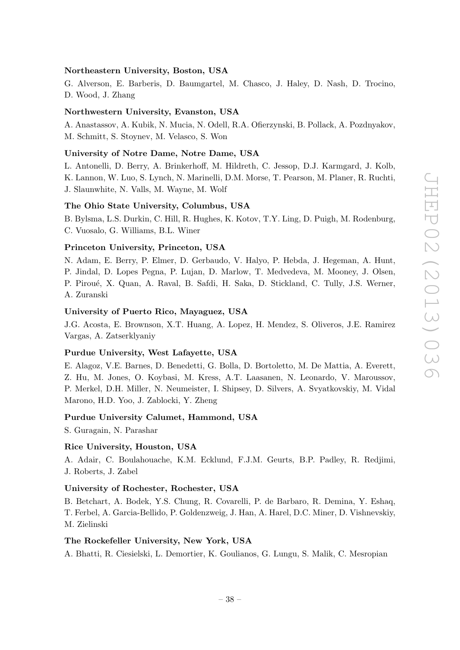## Northeastern University, Boston, USA

G. Alverson, E. Barberis, D. Baumgartel, M. Chasco, J. Haley, D. Nash, D. Trocino, D. Wood, J. Zhang

#### Northwestern University, Evanston, USA

A. Anastassov, A. Kubik, N. Mucia, N. Odell, R.A. Ofierzynski, B. Pollack, A. Pozdnyakov, M. Schmitt, S. Stoynev, M. Velasco, S. Won

#### University of Notre Dame, Notre Dame, USA

L. Antonelli, D. Berry, A. Brinkerhoff, M. Hildreth, C. Jessop, D.J. Karmgard, J. Kolb, K. Lannon, W. Luo, S. Lynch, N. Marinelli, D.M. Morse, T. Pearson, M. Planer, R. Ruchti, J. Slaunwhite, N. Valls, M. Wayne, M. Wolf

### The Ohio State University, Columbus, USA

B. Bylsma, L.S. Durkin, C. Hill, R. Hughes, K. Kotov, T.Y. Ling, D. Puigh, M. Rodenburg, C. Vuosalo, G. Williams, B.L. Winer

#### Princeton University, Princeton, USA

N. Adam, E. Berry, P. Elmer, D. Gerbaudo, V. Halyo, P. Hebda, J. Hegeman, A. Hunt, P. Jindal, D. Lopes Pegna, P. Lujan, D. Marlow, T. Medvedeva, M. Mooney, J. Olsen, P. Piroué, X. Quan, A. Raval, B. Safdi, H. Saka, D. Stickland, C. Tully, J.S. Werner, A. Zuranski

#### University of Puerto Rico, Mayaguez, USA

J.G. Acosta, E. Brownson, X.T. Huang, A. Lopez, H. Mendez, S. Oliveros, J.E. Ramirez Vargas, A. Zatserklyaniy

#### Purdue University, West Lafayette, USA

E. Alagoz, V.E. Barnes, D. Benedetti, G. Bolla, D. Bortoletto, M. De Mattia, A. Everett, Z. Hu, M. Jones, O. Koybasi, M. Kress, A.T. Laasanen, N. Leonardo, V. Maroussov, P. Merkel, D.H. Miller, N. Neumeister, I. Shipsey, D. Silvers, A. Svyatkovskiy, M. Vidal Marono, H.D. Yoo, J. Zablocki, Y. Zheng

#### Purdue University Calumet, Hammond, USA

S. Guragain, N. Parashar

#### Rice University, Houston, USA

A. Adair, C. Boulahouache, K.M. Ecklund, F.J.M. Geurts, B.P. Padley, R. Redjimi, J. Roberts, J. Zabel

## University of Rochester, Rochester, USA

B. Betchart, A. Bodek, Y.S. Chung, R. Covarelli, P. de Barbaro, R. Demina, Y. Eshaq, T. Ferbel, A. Garcia-Bellido, P. Goldenzweig, J. Han, A. Harel, D.C. Miner, D. Vishnevskiy, M. Zielinski

#### The Rockefeller University, New York, USA

A. Bhatti, R. Ciesielski, L. Demortier, K. Goulianos, G. Lungu, S. Malik, C. Mesropian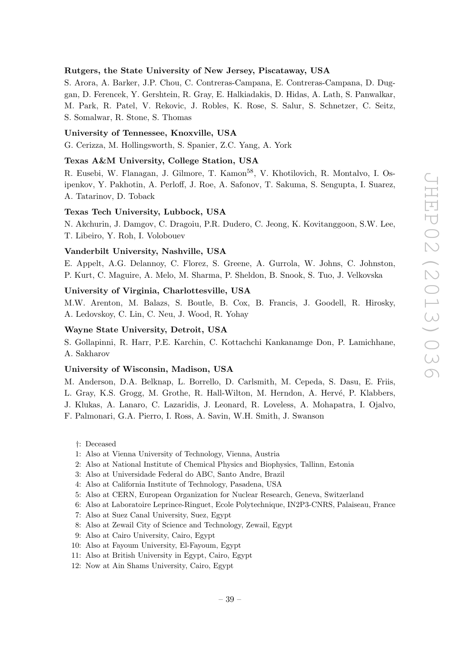## Rutgers, the State University of New Jersey, Piscataway, USA

S. Arora, A. Barker, J.P. Chou, C. Contreras-Campana, E. Contreras-Campana, D. Duggan, D. Ferencek, Y. Gershtein, R. Gray, E. Halkiadakis, D. Hidas, A. Lath, S. Panwalkar, M. Park, R. Patel, V. Rekovic, J. Robles, K. Rose, S. Salur, S. Schnetzer, C. Seitz, S. Somalwar, R. Stone, S. Thomas

### University of Tennessee, Knoxville, USA

G. Cerizza, M. Hollingsworth, S. Spanier, Z.C. Yang, A. York

### Texas A&M University, College Station, USA

R. Eusebi, W. Flanagan, J. Gilmore, T. Kamon<sup>58</sup>, V. Khotilovich, R. Montalvo, I. Osipenkov, Y. Pakhotin, A. Perloff, J. Roe, A. Safonov, T. Sakuma, S. Sengupta, I. Suarez, A. Tatarinov, D. Toback

### Texas Tech University, Lubbock, USA

N. Akchurin, J. Damgov, C. Dragoiu, P.R. Dudero, C. Jeong, K. Kovitanggoon, S.W. Lee, T. Libeiro, Y. Roh, I. Volobouev

## Vanderbilt University, Nashville, USA

E. Appelt, A.G. Delannoy, C. Florez, S. Greene, A. Gurrola, W. Johns, C. Johnston, P. Kurt, C. Maguire, A. Melo, M. Sharma, P. Sheldon, B. Snook, S. Tuo, J. Velkovska

### University of Virginia, Charlottesville, USA

M.W. Arenton, M. Balazs, S. Boutle, B. Cox, B. Francis, J. Goodell, R. Hirosky, A. Ledovskoy, C. Lin, C. Neu, J. Wood, R. Yohay

## Wayne State University, Detroit, USA

S. Gollapinni, R. Harr, P.E. Karchin, C. Kottachchi Kankanamge Don, P. Lamichhane, A. Sakharov

#### University of Wisconsin, Madison, USA

M. Anderson, D.A. Belknap, L. Borrello, D. Carlsmith, M. Cepeda, S. Dasu, E. Friis, L. Gray, K.S. Grogg, M. Grothe, R. Hall-Wilton, M. Herndon, A. Hervé, P. Klabbers, J. Klukas, A. Lanaro, C. Lazaridis, J. Leonard, R. Loveless, A. Mohapatra, I. Ojalvo,

F. Palmonari, G.A. Pierro, I. Ross, A. Savin, W.H. Smith, J. Swanson

- 1: Also at Vienna University of Technology, Vienna, Austria
- 2: Also at National Institute of Chemical Physics and Biophysics, Tallinn, Estonia
- 3: Also at Universidade Federal do ABC, Santo Andre, Brazil
- 4: Also at California Institute of Technology, Pasadena, USA
- 5: Also at CERN, European Organization for Nuclear Research, Geneva, Switzerland
- 6: Also at Laboratoire Leprince-Ringuet, Ecole Polytechnique, IN2P3-CNRS, Palaiseau, France
- 7: Also at Suez Canal University, Suez, Egypt
- 8: Also at Zewail City of Science and Technology, Zewail, Egypt
- 9: Also at Cairo University, Cairo, Egypt
- 10: Also at Fayoum University, El-Fayoum, Egypt
- 11: Also at British University in Egypt, Cairo, Egypt
- 12: Now at Ain Shams University, Cairo, Egypt

<sup>†</sup>: Deceased